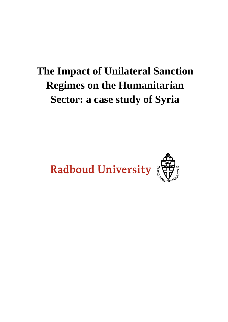# **The Impact of Unilateral Sanction Regimes on the Humanitarian Sector: a case study of Syria**

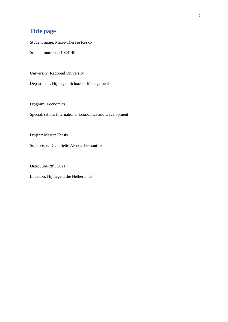## **Title page**

Student name: Marie-Therese Rezko

Student number: s1024140

University: Radboud University

Department: Nijmegen School of Management

Program: Economics

Specialization: International Economics and Development

Project: Master Thesis

Supervisor: Dr. Juliette Alenda-Demoutiez

Date: June 28<sup>th</sup>, 2021

Location: Nijmegen, the Netherlands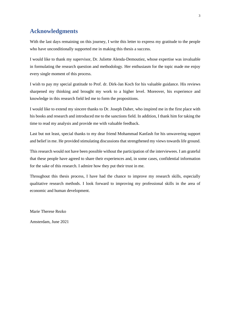## **Acknowledgments**

With the last days remaining on this journey, I write this letter to express my gratitude to the people who have unconditionally supported me in making this thesis a success.

I would like to thank my supervisor, Dr. Juliette Alenda-Demoutiez, whose expertise was invaluable in formulating the research question and methodology. Her enthusiasm for the topic made me enjoy every single moment of this process.

I wish to pay my special gratitude to Prof. dr. Dirk-Jan Koch for his valuable guidance. His reviews sharpened my thinking and brought my work to a higher level. Moreover, his experience and knowledge in this research field led me to form the propositions.

I would like to extend my sincere thanks to Dr. Joseph Daher, who inspired me in the first place with his books and research and introduced me to the sanctions field. In addition, I thank him for taking the time to read my analysis and provide me with valuable feedback.

Last but not least, special thanks to my dear friend Mohammad Kanfash for his unwavering support and belief in me. He provided stimulating discussions that strengthened my views towards life ground.

This research would not have been possible without the participation of the interviewees. I am grateful that these people have agreed to share their experiences and, in some cases, confidential information for the sake of this research. I admire how they put their trust in me.

Throughout this thesis process, I have had the chance to improve my research skills, especially qualitative research methods. I look forward to improving my professional skills in the area of economic and human development.

Marie Therese Rezko

Amsterdam, June 2021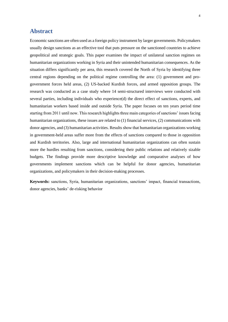## **Abstract**

Economic sanctions are often used as a foreign policy instrument by larger governments. Policymakers usually design sanctions as an effective tool that puts pressure on the sanctioned countries to achieve geopolitical and strategic goals. This paper examines the impact of unilateral sanction regimes on humanitarian organizations working in Syria and their unintended humanitarian consequences. As the situation differs significantly per area, this research covered the North of Syria by identifying three central regions depending on the political regime controlling the area: (1) government and progovernment forces held areas, (2) US-backed Kurdish forces, and armed opposition groups. The research was conducted as a case study where 14 semi-structured interviews were conducted with several parties, including individuals who experience(d) the direct effect of sanctions, experts, and humanitarian workers based inside and outside Syria. The paper focuses on ten years period time starting from 2011 until now. This research highlights three main categories of sanctions' issues facing humanitarian organizations, these issues are related to (1) financial services, (2) communications with donor agencies, and (3) humanitarian activities. Results show that humanitarian organizations working in government-held areas suffer more from the effects of sanctions compared to those in opposition and Kurdish territories. Also, large and international humanitarian organizations can often sustain more the hurdles resulting from sanctions, considering their public relations and relatively sizable budgets. The findings provide more descriptive knowledge and comparative analyses of how governments implement sanctions which can be helpful for donor agencies, humanitarian organizations, and policymakers in their decision-making processes.

**Keywords:** sanctions, Syria, humanitarian organizations, sanctions' impact, financial transactions, donor agencies, banks' de-risking behavior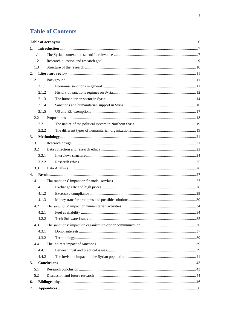## **Table of Contents**

| 1.           |       |  |
|--------------|-------|--|
|              | 1.1   |  |
|              | 1.2   |  |
|              | 1.3   |  |
|              |       |  |
|              | 2.1   |  |
|              | 2.1.1 |  |
|              | 2.1.2 |  |
|              | 2.1.3 |  |
|              | 2.1.4 |  |
|              | 2.1.5 |  |
|              | 2.2   |  |
|              | 2.2.1 |  |
|              | 2.2.2 |  |
| 3.           |       |  |
|              | 3.1   |  |
|              | 3.2   |  |
|              | 3.2.1 |  |
|              | 3.2.2 |  |
|              | 3.3   |  |
| $\mathbf{4}$ |       |  |
|              | 4.1   |  |
|              | 4.1.1 |  |
|              | 4.1.2 |  |
|              | 4.1.3 |  |
|              | 4.2   |  |
|              | 4.2.1 |  |
|              | 4.2.2 |  |
|              | 4.3   |  |
|              | 4.3.1 |  |
|              | 4.3.2 |  |
|              | 4.4   |  |
|              | 4.4.1 |  |
|              | 4.4.2 |  |
| 5.           |       |  |
|              | 5.1   |  |
|              | 5.2   |  |
| 6.           |       |  |
| 7.           |       |  |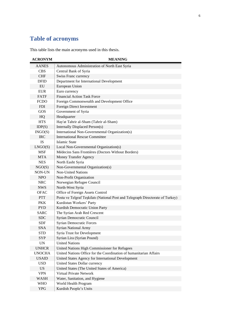## <span id="page-5-0"></span>**Table of acronyms**

This table lists the main acronyms used in this thesis.

| <b>ACRONYM</b>                       | <b>MEANING</b>                                                                 |  |  |  |
|--------------------------------------|--------------------------------------------------------------------------------|--|--|--|
| AANES                                | Autonomous Administration of North East Syria                                  |  |  |  |
| <b>CBS</b>                           | Central Bank of Syria                                                          |  |  |  |
| <b>CHF</b>                           | Swiss Franc currency                                                           |  |  |  |
| <b>DFID</b>                          | Department for International Development                                       |  |  |  |
| EU                                   | European Union                                                                 |  |  |  |
| <b>EUR</b>                           | Euro currency                                                                  |  |  |  |
| <b>FATF</b>                          | <b>Financial Action Task Force</b>                                             |  |  |  |
| <b>FCDO</b>                          | Foreign Commonwealth and Development Office                                    |  |  |  |
| <b>FDI</b>                           | Foreign Direct Investment                                                      |  |  |  |
| GOS                                  | Government of Syria                                                            |  |  |  |
| HQ                                   | Headquarter                                                                    |  |  |  |
| <b>HTS</b>                           | Hay'at Tahrir al-Sham (Tahrir al-Sham)                                         |  |  |  |
| IDP(S)                               | Internally Displaced Person(s)                                                 |  |  |  |
| INGO(S)                              | International Non-Governmental Organization(s)                                 |  |  |  |
| <b>IRC</b>                           | <b>International Rescue Committee</b>                                          |  |  |  |
| <b>IS</b>                            | <b>Islamic State</b>                                                           |  |  |  |
| LNGO(S)                              | Local Non-Governmental Organization(s)                                         |  |  |  |
| <b>MSF</b>                           | Médecins Sans Frontières (Doctors Without Borders)                             |  |  |  |
| <b>MTA</b>                           | <b>Money Transfer Agency</b>                                                   |  |  |  |
| <b>NES</b>                           | North Easht Syria                                                              |  |  |  |
| NGO(S)                               | Non-Governmental Organization(s)                                               |  |  |  |
| NON-UN                               | <b>Non-United Nations</b>                                                      |  |  |  |
| <b>NPO</b>                           | Non-Profit Organization                                                        |  |  |  |
| <b>NRC</b>                           | Norwegian Refugee Council                                                      |  |  |  |
| <b>NWS</b>                           | North-West Syria                                                               |  |  |  |
| <b>OFAC</b>                          | Office of Foreign Assets Control                                               |  |  |  |
| <b>PTT</b>                           | Posta ve Telgraf Teșkilatı (National Post and Telegraph Directorate of Turkey) |  |  |  |
| <b>PKK</b>                           | Kurdistan Workers' Party                                                       |  |  |  |
| <b>PYD</b>                           | Kurdish Democratic Union Party                                                 |  |  |  |
| <b>SARC</b>                          | The Syrian Arab Red Crescent                                                   |  |  |  |
| <b>SDC</b>                           | Syrian Democratic Council                                                      |  |  |  |
| <b>SDF</b>                           | <b>Syrian Democratic Forces</b>                                                |  |  |  |
| <b>SNA</b>                           | <b>Syrian National Army</b>                                                    |  |  |  |
| <b>STD</b>                           | <b>Syria Trust for Development</b>                                             |  |  |  |
| <b>SYP</b>                           | Syrian Lira (Syrian Pound)                                                     |  |  |  |
| <b>UN</b>                            | <b>United Nations</b>                                                          |  |  |  |
| <b>UNHCR</b>                         | United Nations High Commissioner for Refugees                                  |  |  |  |
| <b>UNOCHA</b>                        | United Nations Office for the Coordination of humanitarian Affairs             |  |  |  |
| <b>USAID</b>                         | United States Agency for International Development                             |  |  |  |
| <b>USD</b>                           | United States Dollar currency                                                  |  |  |  |
| <b>US</b>                            | United States (The United States of America)                                   |  |  |  |
| <b>VPN</b>                           | Virtual Private Network                                                        |  |  |  |
| WASH                                 | Water, Sanitation, and Hygiene                                                 |  |  |  |
| <b>WHO</b><br>World Health Program   |                                                                                |  |  |  |
| Kurdish People's Units<br><b>YPG</b> |                                                                                |  |  |  |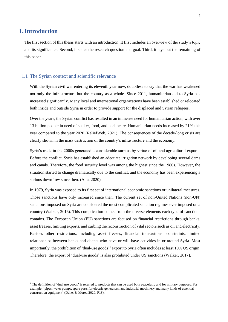## <span id="page-6-0"></span>**1.Introduction**

The first section of this thesis starts with an introduction. It first includes an overview of the study's topic and its significance. Second, it states the research question and goal. Third, it lays out the remaining of this paper.

### <span id="page-6-1"></span>1.1 The Syrian context and scientific relevance

With the Syrian civil war entering its eleventh year now, doubtless to say that the war has weakened not only the infrastructure but the country as a whole. Since 2011, humanitarian aid to Syria has increased significantly. Many local and international organizations have been established or relocated both inside and outside Syria in order to provide support for the displaced and Syrian refugees.

Over the years, the Syrian conflict has resulted in an immense need for humanitarian action, with over 13 billion people in need of shelter, food, and healthcare. Humanitarian needs increased by 21% this year compared to the year 2020 (ReliefWeb, 2021). The consequences of the decade-long crisis are clearly shown in the mass destruction of the country's infrastructure and the economy.

Syria's trade in the 2000s generated a considerable surplus by virtue of oil and agricultural exports. Before the conflict, Syria has established an adequate irrigation network by developing several dams and canals. Therefore, the food security level was among the highest since the 1980s. However, the situation started to change dramatically due to the conflict, and the economy has been experiencing a serious downflow since then. (Aita, 2020)

In 1979, Syria was exposed to its first set of international economic sanctions or unilateral measures. Those sanctions have only increased since then. The current set of non-United Nations (non-UN) sanctions imposed on Syria are considered the most complicated sanction regimes ever imposed on a country (Walker, 2016). This complication comes from the diverse elements each type of sanctions contains. The European Union (EU) sanctions are focused on financial restrictions through banks, asset freezes, limiting exports, and curbing the reconstruction of vital sectors such as oil and electricity. Besides other restrictions, including asset freezes, financial transactions' constraints, limited relationships between banks and clients who have or will have activities in or around Syria. Most importantly, the prohibition of 'dual-use goods'<sup>1</sup> export to Syria often includes at least 10% US origin. Therefore, the export of 'dual-use goods' is also prohibited under US sanctions (Walker, 2017).

 $1$  The definition of 'dual use goods' is referred to products that can be used both peacefully and for military purposes. For example, 'pipes, water pumps, spare parts for electric generators, and industrial machinery and many kinds of essential construction equipment' (Daher & Moret, 2020; P18).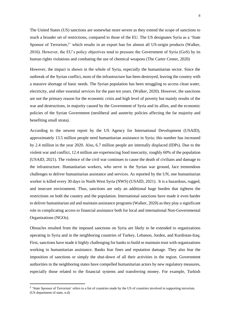The United States (US) sanctions are somewhat more severe as they extend the scope of sanctions to reach a broader set of restrictions, compared to those of the EU. The US designates Syria as a 'State Sponsor of Terrorism,<sup>2</sup> which results in an export ban for almost all US-origin products (Walker, 2016). However, the EU's policy objectives tend to pressure the Government of Syria (GoS) by its human rights violations and combating the use of chemical weapons (The Carter Center, 2020)

However, the impact is shown in the whole of Syria, especially the humanitarian sector. Since the outbreak of the Syrian conflict, most of the infrastructure has been destroyed, leaving the country with a massive shortage of basic needs. The Syrian population has been struggling to access clean water, electricity, and other essential services for the past ten years. (Walker, 2020). However, the sanctions are not the primary reason for the economic crisis and high level of poverty but mainly results of the war and destructions, in majority caused by the Government of Syria and its allies, and the economic policies of the Syrian Government (neoliberal and austerity policies affecting the far majority and benefiting small strata).

According to the newest report by the US Agency for International Development (USAID), approximately 13.5 million people need humanitarian assistance in Syria; this number has increased by 2.4 million in the year 2020. Also, 6.7 million people are internally displaced (IDPs). Due to the violent war and conflict, 12.4 million are experiencing food insecurity, roughly 60% of the population (USAID, 2021). The violence of the civil war continues to cause the death of civilians and damage to the infrastructure. Humanitarian workers, who serve in the Syrian war ground, face tremendous challenges to deliver humanitarian assistance and services. As reported by the UN, one humanitarian worker is killed every 30 days in North West Syria (NWS) (USAID, 2021). It is a hazardous, rugged, and insecure environment. Thus, sanctions are only an additional huge burden that tightens the restrictions on both the country and the population. International sanctions have made it even harder to deliver humanitarian aid and maintain assistance programs (Walker, 2020) as they play a significant role in complicating access to financial assistance both for local and international Non-Governmental Organizations (NGOs).

Obstacles resulted from the imposed sanctions on Syria are likely to be extended to organizations operating in Syria and in the neighboring countries of Turkey, Lebanon, Jorden, and Kurdistan-Iraq. First, sanctions have made it highly challenging for banks to build or maintain trust with organizations working in humanitarian assistance. Banks fear fines and reputation damage. They also fear the imposition of sanctions or simply the shut-down of all their activities in the region. Government authorities in the neighboring states have compelled humanitarian actors by new regulatory measures, especially those related to the financial systems and transferring money. For example, Turkish

<sup>&</sup>lt;sup>2</sup> 'State Sponsor of Terrorism' refers to a list of countries made by the US of countries involved in supporting terrorism. (US department of state, n.d)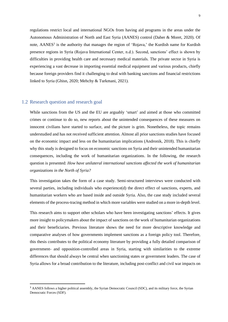regulations restrict local and international NGOs from having aid programs in the areas under the Autonomous Administration of North and East Syria (AANES) control (Daher & Moret, 2020). Of note,  $AANES<sup>3</sup>$  is the authority that manages the region of 'Rojava,' the Kurdish name for Kurdish presence regions in Syria (Rojava International Center, n.d.). Second, sanctions' effect is shown by difficulties in providing health care and necessary medical materials. The private sector in Syria is experiencing a vast decrease in importing essential medical equipment and various products, chiefly because foreign providers find it challenging to deal with banking sanctions and financial restrictions linked to Syria (Ghisn, 2020; Mehchy & Turkmani, 2021).

#### <span id="page-8-0"></span>1.2 Research question and research goal

While sanctions from the US and the EU are arguably 'smart' and aimed at those who committed crimes or continue to do so, new reports about the unintended consequences of these measures on innocent civilians have started to surface, and the picture is grim. Nonetheless, the topic remains understudied and has not received sufficient attention. Almost all prior sanctions studies have focused on the economic impact and less on the humanitarian implications (Andronik, 2018). This is chiefly why this study is designed to focus on economic sanctions on Syria and their unintended humanitarian consequences, including the work of humanitarian organizations. In the following, the research question is presented: *How have unilateral international sanctions affected the work of humanitarian organizations in the North of Syria?*

This investigation takes the form of a case study. Semi-structured interviews were conducted with several parties, including individuals who experience(d) the direct effect of sanctions, experts, and humanitarian workers who are based inside and outside Syria. Also, the case study included several elements of the process-tracing method in which more variables were studied on a more in-depth level.

This research aims to support other scholars who have been investigating sanctions' effects. It gives more insight to policymakers about the impact of sanctions on the work of humanitarian organizations and their beneficiaries. Previous literature shows the need for more descriptive knowledge and comparative analyses of how governments implement sanctions as a foreign policy tool. Therefore, this thesis contributes to the political economy literature by providing a fully detailed comparison of government- and opposition-controlled areas in Syria, starting with similarities to the extreme differences that should always be central when sanctioning states or government leaders. The case of Syria allows for a broad contribution to the literature, including post-conflict and civil war impacts on

<sup>&</sup>lt;sup>3</sup> AANES follows a higher political assembly, the Syrian Democratic Council (SDC), and its military force, the Syrian Democratic Forces (SDF).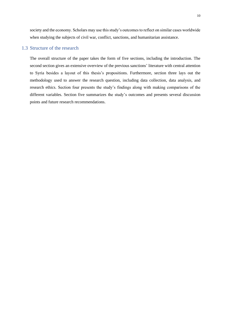society and the economy. Scholars may use this study's outcomes to reflect on similar cases worldwide when studying the subjects of civil war, conflict, sanctions, and humanitarian assistance.

## <span id="page-9-0"></span>1.3 Structure of the research

The overall structure of the paper takes the form of five sections, including the introduction. The second section gives an extensive overview of the previous sanctions' literature with central attention to Syria besides a layout of this thesis's propositions. Furthermore, section three lays out the methodology used to answer the research question, including data collection, data analysis, and research ethics. Section four presents the study's findings along with making comparisons of the different variables. Section five summarizes the study's outcomes and presents several discussion points and future research recommendations.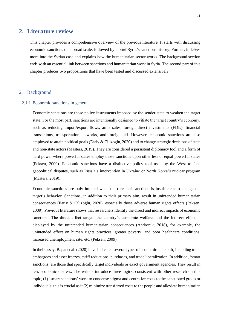## <span id="page-10-0"></span>**2. Literature review**

This chapter provides a comprehensive overview of the previous literature. It starts with discussing economic sanctions on a broad scale, followed by a brief Syria's sanctions history. Further, it delves more into the Syrian case and explains how the humanitarian sector works. The background section ends with an essential link between sanctions and humanitarian work in Syria. The second part of this chapter produces two propositions that have been tested and discussed extensively.

### <span id="page-10-1"></span>2.1 Background

#### <span id="page-10-2"></span>2.1.1 Economic sanctions in general

Economic sanctions are those policy instruments imposed by the sender state to weaken the target state. For the most part, sanctions are intentionally designed to vitiate the target country's economy, such as reducing import/export flows, arms sales, foreign direct investments (FDIs), financial transactions, transportation networks, and foreign aid. However, economic sanctions are also employed to attain political goals (Early & Cilizoglu, 2020) and to change strategic decisions of state and non-state actors (Masters, 2019). They are considered a persistent diplomacy tool and a form of hard power where powerful states employ those sanctions upon other less or equal powerful states (Peksen, 2009). Economic sanctions have a distinctive policy tool used by the West to face geopolitical disputes, such as Russia's intervention in Ukraine or North Korea's nuclear program (Masters, 2019).

Economic sanctions are only implied when the threat of sanctions is insufficient to change the target's behavior. Sanctions, in addition to their primary aim, result in unintended humanitarian consequences (Early & Cilizoglu, 2020), especially those adverse human rights effects (Peksen, 2009). Previous literature shows that researchers identify the direct and indirect impacts of economic sanctions. The direct effect targets the country's economic welfare, and the indirect effect is displayed by the unintended humanitarian consequences (Andronik, 2018), for example, the unintended effect on human rights practices, greater poverty, and poor healthcare conditions, increased unemployment rate, etc. (Peksen, 2009).

In their essay, Bapat et al. (2020) have indicated several types of economic statecraft, including trade embargoes and asset freezes, tariff reductions, purchases, and trade liberalization. In addition, 'smart sanctions' are those that specifically target individuals or exact government agencies. They result in less economic distress. The writers introduce three logics, consistent with other research on this topic, (1) 'smart sanctions' work to condense stigma and centralize costs to the sanctioned group or individuals; this is crucial as it (2) minimize transferred costs to the people and alleviate humanitarian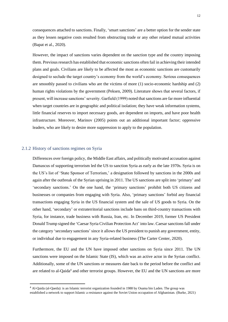consequences attached to sanctions. Finally, 'smart sanctions' are a better option for the sender state as they lessen negative costs resulted from obstructing trade or any other related mutual activities (Bapat et al., 2020).

However, the impact of sanctions varies dependent on the sanction type and the country imposing them. Previous research has established that economic sanctions often fail in achieving their intended plans and goals. Civilians are likely to be affected the most as economic sanctions are customarily designed to seclude the target country's economy from the world's economy. Serious consequences are smoothly passed to civilians who are the victims of more (1) socio-economic hardship and (2) human rights violations by the government (Peksen, 2009). Literature shows that several factors, if present, will increase sanctions' severity. Garfield (1999) noted thatsanctions are far more influential when target countries are in geographic and political isolation; they have weak information systems, little financial reserves to import necessary goods, are dependent on imports, and have poor health infrastructure. Moreover, Marinov (2005) points out an additional important factor; oppressive leaders, who are likely to desire more suppression to apply to the population.

### <span id="page-11-0"></span>2.1.2 History of sanctions regimes on Syria

Differences over foreign policy, the Middle East affairs, and politically motivated accusation against Damascus of supporting terrorism led the US to sanction Syria as early as the late 1970s. Syria is on the US's list of 'State Sponsor of Terrorism,' a designation followed by sanctions in the 2000s and again after the outbreak of the Syrian uprising in 2011. The US sanctions are split into 'primary' and 'secondary sanctions.' On the one hand, the 'primary sanctions' prohibit both US citizens and businesses or companies from engaging with Syria. Also, 'primary sanctions' forbid any financial transactions engaging Syria in the US financial system and the sale of US goods to Syria. On the other hand, 'secondary' or extraterritorial sanctions include bans on third-country transactions with Syria, for instance, trade business with Russia, Iran, etc. In December 2019, former US President Donald Trump signed the 'Caesar Syria Civilian Protection Act' into law. Caesar sanctions fall under the category 'secondary sanctions' since it allows the US president to punish any government, entity, or individual due to engagement in any Syria-related business (The Carter Center, 2020).

Furthermore, the EU and the UN have imposed other sanctions on Syria since 2011. The UN sanctions were imposed on the Islamic State (IS), which was an active actor in the Syrian conflict. Additionally, some of the UN sanctions or measures date back to the period before the conflict and are related to al-Qaida<sup>4</sup> and other terrorist groups. However, the EU and the UN sanctions are more

<sup>4</sup> Al-Qaida (al-Qaeda): is an Islamic terrorist organization founded in 1988 by Osama bin Laden. The group was established a network to support Islamic a resistance against the Soviet Union occupation of Afghanistan. (Burke, 2021)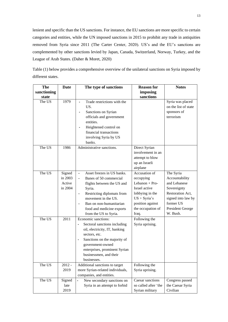lenient and specific than the US sanctions. For instance, the EU sanctions are more specific to certain categories and entities, while the UN imposed sanctions in 2015 to prohibit any trade in antiquities removed from Syria since 2011 (The Carter Center, 2020). US's and the EU's sanctions are complemented by other sanctions levied by Japan, Canada, Switzerland, Norway, Turkey, and the League of Arab States. (Daher & Moret, 2020)

**The sanctioning state Date The type of sanctions Reason for imposing sanctions Notes** The US 1979 - Trade restrictions with the US. **-** Sanctions on Syrian officials and government entities. **-** Heightened control on financial transactions involving Syria by US banks. Syria was placed on the list of state sponsors of terrorism The US 1986 Administrative sanctions. Direct Syrian involvement in an attempt to blow up an Israeli airplane The US Signed in 2003 Active in 2004 **-** Asset freezes in US banks. **-** Banes of 50 commercial flights between the US and Syria. **-** Restricting diplomats from movement in the US. **-** Ban on non-humanitarian food and medicine exports from the US to Syria. Accusation of occupying Lebanon +  $Pro-$ Israel active lobbying in the US + Syria's position against the occupation of Iraq. The Syria Accountability and Lebanese Sovereignty Restoration Act, signed into law by former US President George W. Bush. The US 2011 Economic sanctions: **-** Sectoral sanctions including oil, electricity, IT, banking sectors, etc. **-** Sanctions on the majority of government-owned enterprises, prominent Syrian businessmen, and their businesses. Following the Syria uprising. The US  $\boxed{2012}$  -2019 Additional sanctions to target more Syrian-related individuals, companies, and entities. Following the Syria uprising. The US Signed late 2019 **-** New secondary sanctions on Syria in an attempt to forbid Caesar sanctions so called after 'the Syrian military Congress passed the Caesar Syria Civilian

Table (1) below provides a comprehensive overview of the unilateral sanctions on Syria imposed by different states.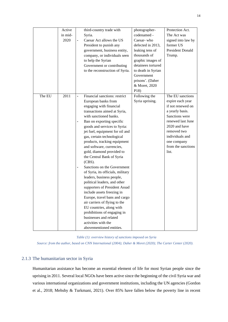|        | Active          | third-country trade with                                                                                                                                                                                                                                                                                                                                                                                                                                                                                                                                                                                                                                                                                                                                                                                                             | photographer-                                                                                                                                                                                                 | Protection Act.                                                                                                                                                                                                      |
|--------|-----------------|--------------------------------------------------------------------------------------------------------------------------------------------------------------------------------------------------------------------------------------------------------------------------------------------------------------------------------------------------------------------------------------------------------------------------------------------------------------------------------------------------------------------------------------------------------------------------------------------------------------------------------------------------------------------------------------------------------------------------------------------------------------------------------------------------------------------------------------|---------------------------------------------------------------------------------------------------------------------------------------------------------------------------------------------------------------|----------------------------------------------------------------------------------------------------------------------------------------------------------------------------------------------------------------------|
|        | in mid-<br>2020 | Syria.<br>Caesar Act allows the US<br>President to punish any<br>government, business entity,<br>company, or individuals seen<br>to help the Syrian<br>Government or contributing<br>to the reconstruction of Syria.                                                                                                                                                                                                                                                                                                                                                                                                                                                                                                                                                                                                                 | codenamed -<br>Caesar-who<br>defected in 2013,<br>leaking tens of<br>thousands of<br>graphic images of<br>detainees tortured<br>to death in Syrian<br>Government<br>prisons'. (Daher<br>& Moret, 2020<br>P18) | The Act was<br>signed into law by<br>former US<br>President Donald<br>Trump.                                                                                                                                         |
| The EU | 2011            | Financial sanctions: restrict<br>$\blacksquare$<br>European banks from<br>engaging with financial<br>transactions aimed at Syria,<br>with sanctioned banks.<br>Ban on exporting specific<br>goods and services to Syria:<br>jet fuel, equipment for oil and<br>gas, certain technological<br>products, tracking equipment<br>and software, currencies,<br>gold, diamond provided to<br>the Central Bank of Syria<br>(CBS).<br>Sanctions on the Government<br>of Syria, its officials, military<br>leaders, business people,<br>political leaders, and other<br>supporters of President Assad<br>include assets freezing in<br>Europe, travel bans and cargo<br>air carriers of flying to the<br>EU countries, along with<br>prohibitions of engaging in<br>businesses and related<br>activities with the<br>abovementioned entities. | Following the<br>Syria uprising.                                                                                                                                                                              | The EU sanctions<br>expire each year<br>if not renewed on<br>a yearly basis.<br>Sanctions were<br>renewed last June<br>2020 and have<br>removed two<br>individuals and<br>one company<br>from the sanctions<br>list. |

*Table (1): overview history of sanctions imposed on Syria*

*Source: from the author, based on CNN International (2004); Daher & Moret (2020); The Carter Center (2020).*

## <span id="page-13-0"></span>2.1.3 The humanitarian sector in Syria

Humanitarian assistance has become an essential element of life for most Syrian people since the uprising in 2011. Several local NGOs have been active since the beginning of the civil Syria war and various international organizations and government institutions, including the UN agencies (Gordon et al., 2018; Mehshy & Turkmani, 2021). Over 85% have fallen below the poverty line in recent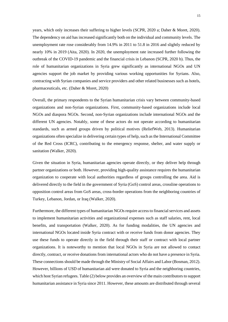years, which only increases their suffering to higher levels (SCPR, 2020 a; Daher & Moret, 2020). The dependency on aid has increased significantly both on the individual and community levels. The unemployment rate rose considerably from 14.9% in 2011 to 51.8 in 2016 and slightly reduced by nearly 10% in 2019 (Aita, 2020). In 2020, the unemployment rate increased further following the outbreak of the COVID-19 pandemic and the financial crisis in Lebanon (SCPR, 2020 b). Thus, the role of humanitarian organizations in Syria grew significantly as international NGOs and UN agencies support the job market by providing various working opportunities for Syrians. Also, contracting with Syrian companies and service providers and other related businesses such as hotels, pharmaceuticals, etc. (Daher & Moret, 2020)

Overall, the primary respondents to the Syrian humanitarian crisis vary between community-based organizations and non-Syrian organizations. First, community-based organizations include local NGOs and diaspora NGOs. Second, non-Syrian organizations include international NGOs and the different UN agencies. Notably, some of these actors do not operate according to humanitarian standards, such as armed groups driven by political motives (ReliefWeb, 2013). Humanitarian organizations often specialize in delivering certain types of help, such asthe International Committee of the Red Cross (ICRC), contributing to the emergency response, shelter, and water supply or sanitation (Walker, 2020).

Given the situation in Syria, humanitarian agencies operate directly, or they deliver help through partner organizations or both. However, providing high-quality assistance requires the humanitarian organization to cooperate with local authorities regardless of groups controlling the area. Aid is delivered directly to the field in the government of Syria (GoS) control areas, crossline operations to opposition control areas from GoS areas, cross-border operations from the neighboring countries of Turkey, Lebanon, Jordan, or Iraq (Walker, 2020).

Furthermore, the different types of humanitarian NGOs require access to financial services and assets to implement humanitarian activities and organizational expenses such as staff salaries, rent, local benefits, and transportation (Walker, 2020). As for funding modalities, the UN agencies and international NGOs located inside Syria contract with or receive funds from donor agencies. They use these funds to operate directly in the field through their staff or contract with local partner organizations. It is noteworthy to mention that local NGOs in Syria are not allowed to contact directly, contract, or receive donations from international actors who do not have a presence in Syria. These connections should be made through the Ministry of Social Affairs and Labor (Bosman, 2012). However, billions of USD of humanitarian aid were donated to Syria and the neighboring countries, which host Syrian refugees. Table (2) below provides an overview of the main contributors to support humanitarian assistance in Syria since 2011. However, these amounts are distributed through several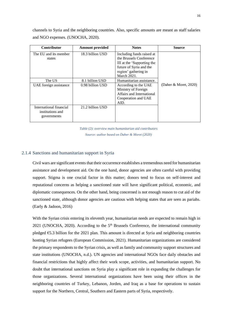channels to Syria and the neighboring countries. Also, specific amounts are meant as staff salaries and NGO expenses. (UNOCHA, 2020).

| <b>Contributor</b>                                         | <b>Amount provided</b> | <b>Notes</b>                                                                                                                                         | Source                   |
|------------------------------------------------------------|------------------------|------------------------------------------------------------------------------------------------------------------------------------------------------|--------------------------|
| The EU and its member<br>states                            | 18.3 billion USD       | Including funds raised at<br>the Brussels Conference<br>III at the 'Supporting the<br>future of Syria and the<br>region' gathering in<br>March 2021. |                          |
| The US                                                     | 8.1 billion USD        | Humanitarian assistance.                                                                                                                             |                          |
| UAE foreign assistance                                     | 0.98 billion USD       | According to the UAE<br>Ministry of Foreign<br>Affairs and International<br>Cooperation and UAE<br>AID.                                              | (Daher & Moret, $2020$ ) |
| International financial<br>institutions and<br>governments | 21.2 billion USD       |                                                                                                                                                      |                          |

*Table (2): overview main humanitarian aid contributors Source: author based on Daher & Moret (2020)*

#### <span id="page-15-0"></span>2.1.4 Sanctions and humanitarian support in Syria

Civil wars are significant events that their occurrence establishes a tremendous need for humanitarian assistance and development aid. On the one hand, donor agencies are often careful with providing support. Stigma is one crucial factor in this matter; donors tend to focus on self-interest and reputational concerns as helping a sanctioned state will have significant political, economic, and diplomatic consequences. On the other hand, being concerned is not enough reason to cut aid of the sanctioned state, although donor agencies are cautious with helping states that are seen as pariahs. (Early & Jadoon, 2016)

With the Syrian crisis entering its eleventh year, humanitarian needs are expected to remain high in 2021 (UNOCHA, 2020). According to the  $5<sup>th</sup>$  Brussels Conference, the international community pledged €5.3 billion for the 2021 plan. This amount is directed at Syria and neighboring countries hosting Syrian refugees (European Commission, 2021). Humanitarian organizations are considered the primary respondents to the Syrian crisis, as well as family and community support structures and state institutions (UNOCHA, n.d.). UN agencies and international NGOs face daily obstacles and financial restrictions that highly affect their work scope, activities, and humanitarian support. No doubt that international sanctions on Syria play a significant role in expanding the challenges for those organizations. Several international organizations have been using their offices in the neighboring countries of Turkey, Lebanon, Jorden, and Iraq as a base for operations to sustain support for the Northern, Central, Southern and Eastern parts of Syria, respectively.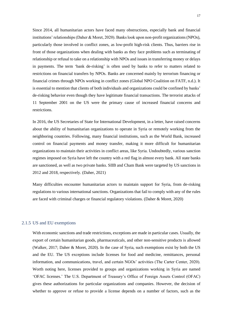Since 2014, all humanitarian actors have faced many obstructions, especially bank and financial institutions' relationships (Daher & Moret, 2020). Banks look upon non-profit organizations (NPOs), particularly those involved in conflict zones, as low-profit high-risk clients. Thus, barriers rise in front of those organizations when dealing with banks as they face problems such as terminating of relationship or refusal to take on a relationship with NPOs and issues in transferring money or delays in payments. The term 'bank de-risking' is often used by banks to refer to matters related to restrictions on financial transfers by NPOs. Banks are concerned mainly by terrorism financing or financial crimes through NPOs working in conflict zones (Global NPO Coalition on FATF, n.d.). It is essential to mention that clients of both individuals and organizations could be confined by banks' de-risking behavior even though they have legitimate financial transactions. The terrorist attacks of 11 September 2001 on the US were the primary cause of increased financial concerns and restrictions.

In 2016, the US Secretaries of State for International Development, in a letter, have raised concerns about the ability of humanitarian organizations to operate in Syria or remotely working from the neighboring countries. Following, many financial institutions, such as the World Bank, increased control on financial payments and money transfer, making it more difficult for humanitarian organizations to maintain their activities in conflict areas, like Syria. Undoubtedly, various sanction regimes imposed on Syria have left the country with a red flag in almost every bank. All state banks are sanctioned, as well as two private banks. SIIB and Cham Bank were targeted by US sanctions in 2012 and 2018, respectively. (Daher, 2021)

Many difficulties encounter humanitarian actors to maintain support for Syria, from de-risking regulations to various international sanctions. Organizations that fail to comply with any of the rules are faced with criminal charges or financial regulatory violations. (Daher & Moret, 2020)

#### <span id="page-16-0"></span>2.1.5 US and EU exemptions

With economic sanctions and trade restrictions, exceptions are made in particular cases. Usually, the export of certain humanitarian goods, pharmaceuticals, and other non-sensitive products is allowed (Walker, 2017; Daher & Moret, 2020). In the case of Syria, such exemptions exist by both the US and the EU. The US exceptions include licenses for food and medicine, remittances, personal information, and communications, travel, and certain NGOs' activities (The Carter Center, 2020). Worth noting here, licenses provided to groups and organizations working in Syria are named 'OFAC licenses.' The U.S. Department of Treasury's Office of Foreign Assets Control (OFAC) gives these authorizations for particular organizations and companies. However, the decision of whether to approve or refuse to provide a license depends on a number of factors, such as the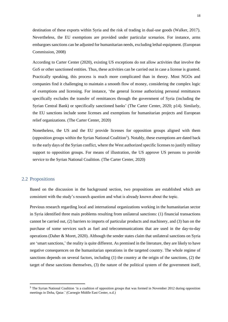destination of these exports within Syria and the risk of trading in dual-use goods (Walker, 2017). Nevertheless, the EU exemptions are provided under particular scenarios. For instance, arms embargoes sanctions can be adjusted for humanitarian needs, excluding lethal-equipment. (European Commission, 2008)

According to Carter Center (2020), existing US exceptions do not allow activities that involve the GoS or other sanctioned entities. Thus, these activities can be carried out in case a license is granted. Practically speaking, this process is much more complicated than in theory. Most NGOs and companies find it challenging to maintain a smooth flow of money, considering the complex logic of exemptions and licensing. For instance, 'the general license authorizing personal remittances specifically excludes the transfer of remittances through the government of Syria (including the Syrian Central Bank) or specifically sanctioned banks' (The Carter Center, 2020; p14). Similarly, the EU sanctions include some licenses and exemptions for humanitarian projects and European relief organizations. (The Carter Center, 2020)

Nonetheless, the US and the EU provide licenses for opposition groups aligned with them (opposition groups within the Syrian National Coalition<sup>5</sup>). Notably, these exemptions are dated back to the early days of the Syrian conflict, where the West authorized specific licenses to justify military support to opposition groups. For means of illustration, the US approve US persons to provide service to the Syrian National Coalition. (The Carter Center, 2020)

#### <span id="page-17-0"></span>2.2 Propositions

Based on the discussion in the background section, two propositions are established which are consistent with the study's research question and what is already known about the topic.

Previous research regarding local and international organizations working in the humanitarian sector in Syria identified three main problems resulting from unilateral sanctions: (1) financial transactions cannot be carried out, (2) barriers to imports of particular products and machinery, and (3) ban on the purchase of some services such as fuel and telecommunications that are used in the day-to-day operations (Daher & Moret, 2020). Although the sender states claim that unilateral sanctions on Syria are 'smart sanctions,' the reality is quite different. As premised in the literature, they are likely to have negative consequences on the humanitarian operations in the targeted country. The whole regime of sanctions depends on several factors, including (1) the country at the origin of the sanctions, (2) the target of these sanctions themselves, (3) the nature of the political system of the government itself,

<sup>&</sup>lt;sup>5</sup> The Syrian National Coalition 'is a coalition of opposition groups that was formed in November 2012 during opposition meetings in Doha, Qatar.' (Carnegie Middle East Center, n.d.)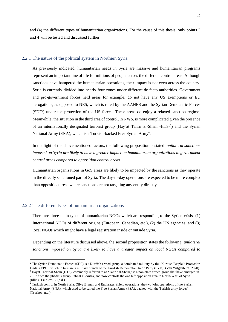and (4) the different types of humanitarian organizations. For the cause of this thesis, only points 3 and 4 will be tested and discussed further.

#### <span id="page-18-0"></span>2.2.1 The nature of the political system in Northern Syria

As previously indicated, humanitarian needs in Syria are massive and humanitarian programs represent an important line of life for millions of people across the different control areas. Although sanctions have hampered the humanitarian operations, their impact is not even across the country. Syria is currently divided into nearly four zones under different de facto authorities. Government and pro-government forces held areas for example, do not have any US exemptions or EU derogations, as opposed to NES, which is ruled by the AANES and the Syrian Democratic Forces (SDF<sup>6</sup>) under the protection of the US forces. These areas do enjoy a relaxed sanction regime. Meanwhile, the situation in the third area of control, in NWS, is more complicated given the presence of an internationally designated terrorist group (Hay'at Tahrir al-Sham -HTS-7) and the Syrian National Army (SNA), which is a Turkish-backed Free Syrian Army<sup>8</sup>.

In the light of the abovementioned factors, the following proposition is stated: *unilateral sanctions imposed on Syria are likely to have a greater impact on humanitarian organizations in government control areas compared to opposition control areas.*

Humanitarian organizations in GoS areas are likely to be impacted by the sanctions as they operate in the directly sanctioned part of Syria. The day-to-day operations are expected to be more complex than opposition areas where sanctions are not targeting any entity directly.

#### <span id="page-18-1"></span>2.2.2 The different types of humanitarian organizations

There are three main types of humanitarian NGOs which are responding to the Syrian crisis. (1) International NGOs of different origins (European, Canadian, etc.), (2) the UN agencies, and (3) local NGOs which might have a legal registration inside or outside Syria.

Depending on the literature discussed above, the second proposition states the following: *unilateral sanctions imposed on Syria are likely to have a greater impact on local NGOs compared to* 

<sup>6</sup> The Syrian Democratic Forces (SDF) is a Kurdish armed group, a dominated military by the 'Kurdish People's Protection Units' (YPG), which in turn are a military branch of the Kurdish Democratic Union Party (PYD). (Van Wilgenburg, 2020) <sup>7</sup> Hayat Tahrir al-Sham (HTS), commonly referred to as 'Tahrir al-Sham,' is a non-state armed group that have emerged in 2017 from the jihadists group, Jabhat al-Nusra, and now controls the one left opposition area in North-West of Syria (Idlib). Tsurkov, E. (n.d.)

<sup>&</sup>lt;sup>8</sup> Turkish control in North Syria: Olive Branch and Euphrates Shield operations, the two joint operations of the Syrian National Army (SNA), which used to be called the Free Syrian Army (FSA), backed with the Turkish army forces). (Tsurkov, n.d.)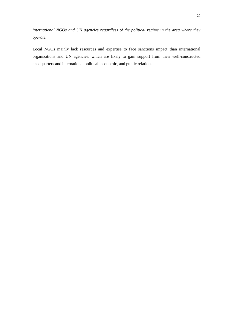*international NGOs and UN agencies regardless of the political regime in the area where they operate.* 

Local NGOs mainly lack resources and expertise to face sanctions impact than international organizations and UN agencies, which are likely to gain support from their well-constructed headquarters and international political, economic, and public relations.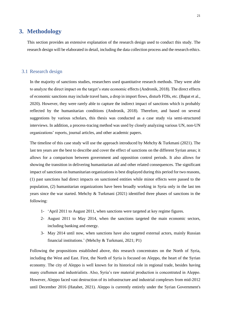## <span id="page-20-0"></span>**3. Methodology**

This section provides an extensive explanation of the research design used to conduct this study. The research design will be elaborated in detail, including the data collection process and the research ethics.

#### <span id="page-20-1"></span>3.1 Research design

In the majority of sanctions studies, researchers used quantitative research methods. They were able to analyze the direct impact on the target's state economic effects (Andronik, 2018). The direct effects of economic sanctions may include travel bans, a drop in import flows, disturb FDIs, etc. (Bapat et al., 2020). However, they were rarely able to capture the indirect impact of sanctions which is probably reflected by the humanitarian conditions (Andronik, 2018). Therefore, and based on several suggestions by various scholars, this thesis was conducted as a case study via semi-structured interviews. In addition, a process-tracing method was used by closely analyzing various UN, non-UN organizations' reports, journal articles, and other academic papers.

The timeline of this case study will use the approach introduced by Mehchy & Turkmani (2021). The last ten years are the best to describe and cover the effect of sanctions on the different Syrian areas; it allows for a comparison between government and opposition control periods. It also allows for showing the transition in delivering humanitarian aid and other related consequences. The significant impact of sanctions on humanitarian organizations is best displayed during this period for two reasons, (1) past sanctions had direct impacts on sanctioned entities while minor effects were passed to the population, (2) humanitarian organizations have been broadly working in Syria only in the last ten years since the war started. Mehchy & Turkmani (2021) identified three phases of sanctions in the following:

- 1- 'April 2011 to August 2011, when sanctions were targeted at key regime figures.
- 2- August 2011 to May 2014, when the sanctions targeted the main economic sectors, including banking and energy.
- 3- May 2014 until now, when sanctions have also targeted external actors, mainly Russian financial institutions.' (Mehchy & Turkmani, 2021; P1)

Following the propositions established above, this research concentrates on the North of Syria, including the West and East. First, the North of Syria is focused on Aleppo, the heart of the Syrian economy. The city of Aleppo is well known for its historical role in regional trade, besides having many craftsmen and industrialists. Also, Syria's raw material production is concentrated in Aleppo. However, Aleppo faced vast destruction of its infrastructure and industrial complexes from mid-2012 until December 2016 (Hatahet, 2021). Aleppo is currently entirely under the Syrian Government's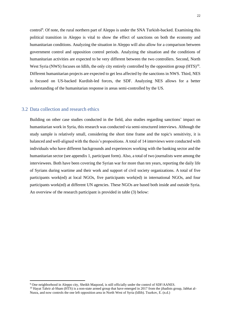control<sup>9</sup>. Of note, the rural northern part of Aleppo is under the SNA Turkish-backed. Examining this political transition in Aleppo is vital to show the effect of sanctions on both the economy and humanitarian conditions. Analyzing the situation in Aleppo will also allow for a comparison between government control and opposition control periods. Analyzing the situation and the conditions of humanitarian activities are expected to be very different between the two controllers. Second, North West Syria (NWS) focuses on Idlib, the only city entirely controlled by the opposition group (HTS)<sup>10</sup>. Different humanitarian projects are expected to get less affected by the sanctions in NWS. Third, NES is focused on US-backed Kurdish-led forces, the SDF. Analyzing NES allows for a better understanding of the humanitarian response in areas semi-controlled by the US.

#### <span id="page-21-0"></span>3.2 Data collection and research ethics

Building on other case studies conducted in the field, also studies regarding sanctions' impact on humanitarian work in Syria, this research was conducted via semi-structured interviews. Although the study sample is relatively small, considering the short time frame and the topic's sensitivity, it is balanced and well-aligned with the thesis's propositions. A total of 14 interviews were conducted with individuals who have different backgrounds and experiences working with the banking sector and the humanitarian sector (see appendix 1, participant form). Also, a total of two journalists were among the interviewees. Both have been covering the Syrian war for more than ten years, reporting the daily life of Syrians during wartime and their work and support of civil society organizations. A total of five participants work(ed) at local NGOs, five participants work(ed) in international NGOs, and four participants work(ed) at different UN agencies. These NGOs are based both inside and outside Syria. An overview of the research participant is provided in table (3) below:

<sup>9</sup> One neighborhood in Aleppo city, Sheikh Maqsood, is still officially under the control of SDF/AANES.

 $10$  Hayat Tahrir al-Sham (HTS) is a non-state armed group that have emerged in 2017 from the jihadists group, Jabhat al-Nusra, and now controls the one left opposition area in North West of Syria (Idlib). Tsurkov, E. (n.d.)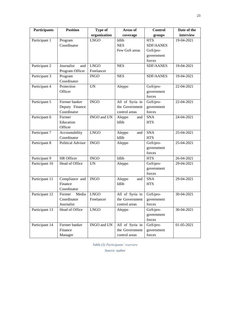| <b>Participants</b> | <b>Position</b>          | Type of      | Areas of        | <b>Control</b>   | Date of the |
|---------------------|--------------------------|--------------|-----------------|------------------|-------------|
|                     |                          | organization | coverage        | groups           | interview   |
| Participant 1       | Program                  | <b>LNGO</b>  | Idlib           | <b>HTS</b>       | 19-04-2021  |
|                     | Coordinator              |              | <b>NES</b>      | <b>SDF/AANES</b> |             |
|                     |                          |              | Few GoS areas   | GoS/pro-         |             |
|                     |                          |              |                 | government       |             |
|                     |                          |              |                 | forces           |             |
| Participant 2       | Journalist<br>and        | LNGO         | <b>NES</b>      | <b>SDF/AANES</b> | 19-04-2021  |
|                     | Program Officer          | Freelancer   |                 |                  |             |
| Participant 3       | Program                  | <b>INGO</b>  | <b>NES</b>      | <b>SDF/AANES</b> | 19-04-2021  |
|                     | Coordinator              |              |                 |                  |             |
| Participant 4       | Protection               | <b>UN</b>    | Aleppo          | GoS/pro-         | 22-04-2021  |
|                     | Officer                  |              |                 | government       |             |
|                     |                          |              |                 | forces           |             |
| Participant 5       | Former banker            | <b>INGO</b>  | All of Syria in | GoS/pro-         | 22-04-2021  |
|                     | Deputy Finance           |              | the Government  | government       |             |
|                     | Coordinator              |              | control areas   | forces           |             |
| Participant 6       | Former                   | INGO and UN  | Aleppo<br>and   | <b>SNA</b>       | 24-04-2021  |
|                     | Education                |              | Idlib           | <b>HTS</b>       |             |
|                     | Officer                  |              |                 |                  |             |
| Participant 7       | Accountability           | <b>LNGO</b>  | Aleppo<br>and   | <b>SNA</b>       | 25-04-2021  |
|                     | Coordinator              |              | Idlib           | <b>HTS</b>       |             |
| Participant 8       | <b>Political Advisor</b> | <b>INGO</b>  | Aleppo          | GoS/pro-         | 25-04-2021  |
|                     |                          |              |                 | government       |             |
|                     |                          |              |                 | forces           |             |
| Participant 9       | HR Officer               | <b>INGO</b>  | Idlib           | <b>HTS</b>       | 26-04-2021  |
| Participant 10      | Head of Office           | <b>UN</b>    | Aleppo          | GoS/pro-         | 29-04-2021  |
|                     |                          |              |                 | government       |             |
|                     |                          |              |                 | forces           |             |
| Participant 11      | Compliance and           | <b>INGO</b>  | Aleppo<br>and   | <b>SNA</b>       | 29-04-2021  |
|                     | Finance                  |              | Idlib           | <b>HTS</b>       |             |
|                     | Coordinator              |              |                 |                  |             |
| Participant 12      | Media<br>Former          | <b>LNGO</b>  | All of Syria in | GoS/pro-         | 30-04-2021  |
|                     | Coordinator              | Freelancer   | the Government  | government       |             |
|                     | Journalist               |              | control areas   | forces           |             |
| Participant 13      | Head of Office           | <b>LNGO</b>  | Aleppo          | GoS/pro-         | 30-04-2021  |
|                     |                          |              |                 | government       |             |
|                     |                          |              |                 | forces           |             |
| Participant 14      | Former banker            | INGO and UN  | All of Syria in | GoS/pro-         | 01-05-2021  |
|                     | Finance                  |              | the Government  | government       |             |
|                     | Manager                  |              | control areas   | forces           |             |

*Table (3) Participants' overview*

*Source: author*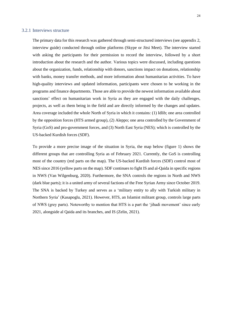#### <span id="page-23-0"></span>3.2.1 Interviews structure

The primary data for this research was gathered through semi-structured interviews (see appendix 2, interview guide) conducted through online platforms (Skype or Jitsi Meet). The interview started with asking the participants for their permission to record the interview, followed by a short introduction about the research and the author. Various topics were discussed, including questions about the organization, funds, relationship with donors, sanctions impact on donations, relationship with banks, money transfer methods, and more information about humanitarian activities. To have high-quality interviews and updated information, participants were chosen to be working in the programs and finance departments. Those are able to provide the newest information available about sanctions' effect on humanitarian work in Syria as they are engaged with the daily challenges, projects, as well as them being in the field and are directly informed by the changes and updates. Area coverage included the whole North of Syria in which it contains: (1) Idlib; one area controlled by the opposition forces (HTS armed group), (2) Aleppo; one area controlled by the Government of Syria (GoS) and pro-government forces, and (3) North East Syria (NES); which is controlled by the US-backed Kurdish forces (SDF).

To provide a more precise image of the situation in Syria, the map below (figure 1) shows the different groups that are controlling Syria as of February 2021. Currently, the GoS is controlling most of the country (red parts on the map). The US-backed Kurdish forces (SDF) control most of NES since 2016 (yellow parts on the map). SDF continues to fight IS and al-Qaida in specific regions in NWS (Van Wilgenburg, 2020). Furthermore, the SNA controls the regions in North and NWS (dark blue parts); it is a united army of several factions of the Free Syrian Army since October 2019. The SNA is backed by Turkey and serves as a 'military entity to ally with Turkish military in Northern Syria' (Kasapoglu, 2021). However, HTS, an Islamist militant group, controls large parts of NWS (grey parts). Noteworthy to mention that HTS is a part the 'jihadi movement' since early 2021, alongside al Qaida and its branches, and IS (Zelin, 2021).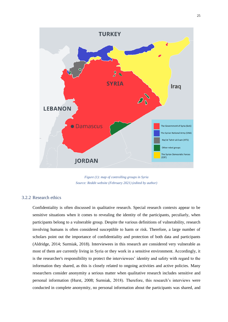

*Figure (1): map of controlling groups in Syria Source: Reddit website (February 2021) (edited by author)*

#### <span id="page-24-0"></span>3.2.2 Research ethics

Confidentiality is often discussed in qualitative research. Special research contexts appear to be sensitive situations when it comes to revealing the identity of the participants, peculiarly, when participants belong to a vulnerable group. Despite the various definitions of vulnerability, research involving humans is often considered susceptible to harm or risk. Therefore, a large number of scholars point out the importance of confidentiality and protection of both data and participants (Aldridge, 2014; Surmiak, 2018). Interviewees in this research are considered very vulnerable as most of them are currently living in Syria or they work in a sensitive environment. Accordingly, it is the researcher's responsibility to protect the interviewees' identity and safety with regard to the information they shared, as this is closely related to ongoing activities and active policies. Many researchers consider anonymity a serious matter when qualitative research includes sensitive and personal information (Hurst, 2008; Surmiak, 2018). Therefore, this research's interviews were conducted in complete anonymity, no personal information about the participants was shared, and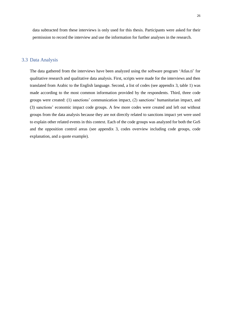data subtracted from these interviews is only used for this thesis. Participants were asked for their permission to record the interview and use the information for further analyses in the research.

#### <span id="page-25-0"></span>3.3 Data Analysis

The data gathered from the interviews have been analyzed using the software program 'Atlas.ti' for qualitative research and qualitative data analysis. First, scripts were made for the interviews and then translated from Arabic to the English language. Second, a list of codes (see appendix 3, table 1) was made according to the most common information provided by the respondents. Third, three code groups were created: (1) sanctions' communication impact, (2) sanctions' humanitarian impact, and (3) sanctions' economic impact code groups. A few more codes were created and left out without groups from the data analysis because they are not directly related to sanctions impact yet were used to explain other related events in this context. Each of the code groups was analyzed for both the GoS and the opposition control areas (see appendix 3, codes overview including code groups, code explanation, and a quote example).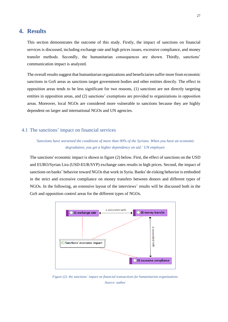## <span id="page-26-0"></span>**4. Results**

This section demonstrates the outcome of this study. Firstly, the impact of sanctions on financial services is discussed, including exchange rate and high prices issues, excessive compliance, and money transfer methods. Secondly, the humanitarian consequences are shown. Thirdly, sanctions' communication impact is analyzed.

The overall results suggest that humanitarian organizations and beneficiaries suffer more from economic sanctions in GoS areas as sanctions target government bodies and other entities directly. The effect in opposition areas tends to be less significant for two reasons, (1) sanctions are not directly targeting entities in opposition areas, and (2) sanctions' exemptions are provided to organizations in opposition areas. Moreover, local NGOs are considered more vulnerable to sanctions because they are highly dependent on larger and international NGOs and UN agencies.

### <span id="page-26-1"></span>4.1 The sanctions' impact on financial services

## *'Sanctions have worsened the conditions of more than 90% of the Syrians. When you have an economic degradation, you get a higher dependency on aid.' UN employee*

The sanctions' economic impact is shown in figure (2) below. First, the effect of sanctions on the USD and EURO/Syrian Lira (USD-EUR/SYP) exchange rates results in high prices. Second, the impact of sanctions on banks' behavior toward NGOs that work in Syria. Banks' de-risking behavior is embodied in the strict and excessive compliance on money transfers between donors and different types of NGOs. In the following, an extensive layout of the interviews' results will be discussed both in the GoS and opposition control areas for the different types of NGOs.



*Figure (2): the sanctions' impact on financial transactions for humanitarian organizations Source: author*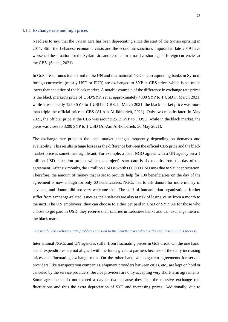#### <span id="page-27-0"></span>4.1.1 Exchange rate and high prices

Needless to say, that the Syrian Lira has been depreciating since the start of the Syrian uprising in 2011. Still, the Lebanese economic crisis and the economic sanctions imposed in late 2019 have worsened the situation for the Syrian Lira and resulted in a massive shortage of foreign currencies at the CBS. (Salahi, 2021)

In GoS areas, funds transferred to the UN and international NGOs' corresponding banks in Syria in foreign currencies (mostly USD or EUR) are exchanged to SYP at CBS price, which is set much lower than the price of the black market. A notable example of the difference in exchange rate prices is the black market's price of USD/SYP, set at approximately 4000 SYP to 1 USD in March 2021, while it was nearly 1250 SYP to 1 USD in CBS. In March 2021, the black market price was more than triple the official price at CBS (Al-Ain Al-Ikhbarieh, 2021). Only two months later, in May 2021, the official price at the CBS was around 2512 SYP to 1 USD, while in the black market, the price was close to 3200 SYP to 1 USD (Al-Ain Al-Ikhbarieh, 30 May 2021).

The exchange rate price in the local market changes frequently depending on demands and availability. This results in huge losses as the difference between the official CBS price and the black market price is sometimes significant. For example, a local NGO agrees with a UN agency on a 1 million USD education project while the project's start date is six months from the day of the agreement. After six months, the 1 million USD is worth 600,000 USD now due to SYP depreciation. Therefore, the amount of money that is set to provide help for 100 beneficiaries on the day of the agreement is now enough for only 60 beneficiaries. NGOs had to ask donors for more money in advance, and donors did not very welcome that. The staff of humanitarian organizations further suffer from exchange-related issues as their salaries are also at risk of losing value from a month to the next. The UN employees, they can choose to either get paid in USD or SYP. As for those who choose to get paid in USD, they receive their salaries in Lebanese banks and can exchange them in the black market.

#### *'Basically, the exchange rate problem is passed to the beneficiaries who are the real losers in this process.'*

International NGOs and UN agencies suffer from fluctuating prices in GoS areas. On the one hand, actual expenditures are not aligned with the funds given to partners because of the daily increasing prices and fluctuating exchange rates. On the other hand, all long-term agreements for service providers, like transportation companies, shipment providers between cities, etc., are kept on hold or canceled by the service providers. Service providers are only accepting very short-term agreements. Some agreements do not exceed a day or two because they fear the massive exchange rate fluctuations and thus the extra depreciation of SYP and increasing prices. Additionally, due to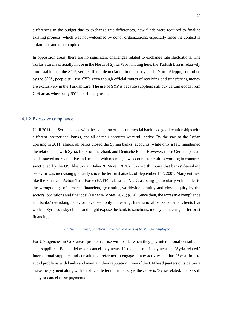differences in the budget due to exchange rate differences, new funds were required to finalize existing projects, which was not welcomed by donor organizations, especially since the context is unfamiliar and too complex.

In opposition areas, there are no significant challenges related to exchange rate fluctuations. The Turkish Lira is officially in use in the North of Syria. Worth noting here, the Turkish Lira is relatively more stable than the SYP, yet it suffered depreciation in the past year. In North Aleppo, controlled by the SNA, people still use SYP, even though official routes of receiving and transferring money are exclusively in the Turkish Lira. The use of SYP is because suppliers still buy certain goods from GoS areas where only SYP is officially used.

#### <span id="page-28-0"></span>4.1.2 Excessive compliance

Until 2011, all Syrian banks, with the exception of the commercial bank, had good relationships with different international banks, and all of their accounts were still active. By the start of the Syrian uprising in 2011, almost all banks closed the Syrian banks' accounts, while only a few maintained the relationship with Syria, like Commerzbank and Deutsche Bank. However, those German private banks stayed more attentive and hesitant with opening new accounts for entities working in countries sanctioned by the US, like Syria (Daher & Moret, 2020). It is worth noting that banks' de-risking behavior was increasing gradually since the terrorist attacks of September 11<sup>th</sup>, 2001. Many entities, like the Financial Action Task Force (FATF), 'classifies NGOs as being -particularly vulnerable- to the wrongdoings of terrorist financiers, generating worldwide scrutiny and close inquiry by the sectors' operations and finances' (Daher & Moret, 2020; p.14). Since then, the excessive compliance and banks' de-risking behavior have been only increasing. International banks consider clients that work in Syria as risky clients and might expose the bank to sanctions, money laundering, or terrorist financing.

#### *'Partnership wise, sanctions have led to a loss of trust.' UN employee*

For UN agencies in GoS areas, problems arise with banks when they pay international consultants and suppliers. Banks delay or cancel payments if the cause of payment is 'Syria-related.' International suppliers and consultants prefer not to engage in any activity that has 'Syria' in it to avoid problems with banks and maintain their reputation. Even if the UN headquarters outside Syria make the payment along with an official letter to the bank, yet the cause is 'Syria-related,' banks still delay or cancel these payments.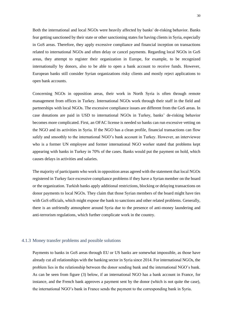Both the international and local NGOs were heavily affected by banks' de-risking behavior. Banks fear getting sanctioned by their state or other sanctioning states for having clients in Syria, especially in GoS areas. Therefore, they apply excessive compliance and financial inception on transactions related to international NGOs and often delay or cancel payments. Regarding local NGOs in GoS areas, they attempt to register their organization in Europe, for example, to be recognized internationally by donors, also to be able to open a bank account to receive funds. However, European banks still consider Syrian organizations risky clients and mostly reject applications to open bank accounts.

Concerning NGOs in opposition areas, their work in North Syria is often through remote management from offices in Turkey. International NGOs work through their staff in the field and partnerships with local NGOs. The excessive compliance issues are different from the GoS areas. In case donations are paid in USD to international NGOs in Turkey, banks' de-risking behavior becomes more complicated. First, an OFAC license is needed so banks can run excessive vetting on the NGO and its activities in Syria. If the NGO has a clean profile, financial transactions can flow safely and smoothly to the international NGO's bank account in Turkey. However, an interviewee who is a former UN employee and former international NGO worker stated that problems kept appearing with banks in Turkey in 70% of the cases. Banks would put the payment on hold, which causes delays in activities and salaries.

The majority of participants who work in opposition areas agreed with the statement that local NGOs registered in Turkey face excessive compliance problems if they have a Syrian member on the board or the organization. Turkish banks apply additional restrictions, blocking or delaying transactions on donor payments to local NGOs. They claim that those Syrian members of the board might have ties with GoS officials, which might expose the bank to sanctions and other related problems. Generally, there is an unfriendly atmosphere around Syria due to the presence of anti-money laundering and anti-terrorism regulations, which further complicate work in the country.

#### <span id="page-29-0"></span>4.1.3 Money transfer problems and possible solutions

Payments to banks in GoS areas through EU or US banks are somewhat impossible, as those have already cut all relationships with the banking sector in Syria since 2014. For international NGOs, the problem lies in the relationship between the donor sending bank and the international NGO's bank. As can be seen from figure (3) below, if an international NGO has a bank account in France, for instance, and the French bank approves a payment sent by the donor (which is not quite the case), the international NGO's bank in France sends the payment to the corresponding bank in Syria.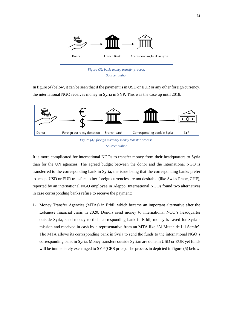

*Figure (3): basic money transfer process. Source: author*

In figure (4) below, it can be seen that if the payment is in USD or EUR or any other foreign currency, the international NGO receives money in Syria in SYP. This was the case up until 2018.



It is more complicated for international NGOs to transfer money from their headquarters to Syria than for the UN agencies. The agreed budget between the donor and the international NGO is transferred to the corresponding bank in Syria, the issue being that the corresponding banks prefer to accept USD or EUR transfers, other foreign currencies are not desirable (like Swiss Franc, CHF), reported by an international NGO employee in Aleppo. International NGOs found two alternatives in case corresponding banks refuse to receive the payment:

1- Money Transfer Agencies (MTAs) in Erbil: which became an important alternative after the Lebanese financial crisis in 2020. Donors send money to international NGO's headquarter outside Syria, send money to their corresponding bank in Erbil, money is saved for Syria's mission and received in cash by a representative from an MTA like 'Al Mutahide Lil Serafe'. The MTA allows its corresponding bank in Syria to send the funds to the international NGO's corresponding bank in Syria. Money transfers outside Syrian are done in USD or EUR yet funds will be immediately exchanged to SYP (CBS price). The process in depicted in figure (5) below.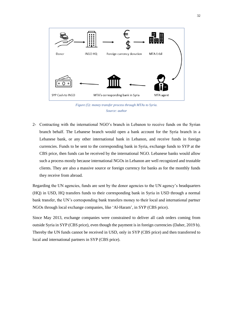

*Figure (5): money transfer process through MTAs to Syria. Source: author*

2- Contracting with the international NGO's branch in Lebanon to receive funds on the Syrian branch behalf. The Lebanese branch would open a bank account for the Syria branch in a Lebanese bank, or any other international bank in Lebanon, and receive funds in foreign currencies. Funds to be sent to the corresponding bank in Syria, exchange funds to SYP at the CBS price, then funds can be received by the international NGO. Lebanese banks would allow such a process mostly because international NGOs in Lebanon are well recognized and trustable clients. They are also a massive source or foreign currency for banks as for the monthly funds they receive from abroad.

Regarding the UN agencies, funds are sent by the donor agencies to the UN agency's headquarters (HQ) in USD, HQ transfers funds to their corresponding bank in Syria in USD through a normal bank transfer, the UN's corresponding bank transfers money to their local and international partner NGOs through local exchange companies, like 'Al-Haram', in SYP (CBS price).

Since May 2013, exchange companies were constrained to deliver all cash orders coming from outside Syria in SYP (CBS price), even though the payment is in foreign currencies (Daher, 2019 b). Thereby the UN funds cannot be received in USD, only in SYP (CBS price) and then transferred to local and international partners in SYP (CBS price).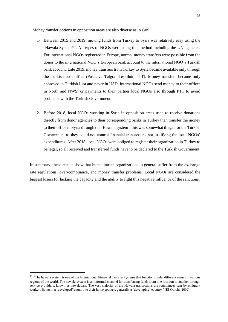Money transfer options in opposition areas are also diverse as in GoS:

- 1- Between 2015 and 2019, moving funds from Turkey to Syria was relatively easy using the 'Hawala System<sup>11</sup>'. All types of NGOs were using this method including the UN agencies. For international NGOs registered in Europe, normal money transfers were possible from the donor to the international NGO's European bank account to the international NGO's Turkish bank account. Late 2019, money transfers from Turkey to Syria became available only through the Turkish post office (Posta ve Telgraf Teşkilatı, PTT). Money transfers became only approved in Turkish Lira and never in USD. International NGOs send money to their offices in North and NWS, or payments to their partner local NGOs also through PTT to avoid problems with the Turkish Government.
- 2- Before 2018, local NGOs working in Syria in opposition areas used to receive donations directly from donor agencies to their corresponding banks in Turkey then transfer the money to their office in Syria through the 'Hawala system', this was somewhat illegal for the Turkish Government as they could not control financial transactions nor justifying the local NGOs' expenditures. After 2018, local NGOs were obliged to register their organization in Turkey to be legal, so all received and transferred funds have to be declared to the Turkish Government.

In summary, these results show that humanitarian organizations in general suffer from the exchange rate regulations, over-compliance, and money transfer problems. Local NGOs are considered the biggest losers for lacking the capacity and the ability to fight this negative influence of the sanctions.

<sup>&</sup>lt;sup>11</sup> 'The hawala system is one of the International Financial Transfer systems that functions under different names in various regions of the world. The hawala system is an informal channel for transferring funds from one location to another through service providers, known as hawaladars. The vast majority of the Hawala transactions are remittances sent by emigrant workers living in a 'developed' country to their home country, generally a 'developing' country.' (El-Oorchi, 2002)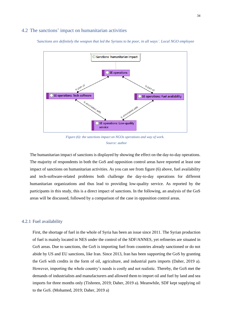#### <span id="page-33-0"></span>4.2 The sanctions' impact on humanitarian activities

*'Sanctions are definitely the weapon that led the Syrians to be poor, in all ways'. Local NGO employee*



*Figure (6): the sanctions impact on NGOs operations and way of work. Source: author*

The humanitarian impact of sanctions is displayed by showing the effect on the day-to-day operations. The majority of respondents in both the GoS and opposition control areas have reported at least one impact of sanctions on humanitarian activities. As you can see from figure (6) above, fuel availability and tech-software-related problems both challenge the day-to-day operations for different humanitarian organizations and thus lead to providing low-quality service. As reported by the participants in this study, this is a direct impact of sanctions. In the following, an analysis of the GoS areas will be discussed, followed by a comparison of the case in opposition control areas.

#### <span id="page-33-1"></span>4.2.1 Fuel availability

First, the shortage of fuel in the whole of Syria has been an issue since 2011. The Syrian production of fuel is mainly located in NES under the control of the SDF/ANNES, yet refineries are situated in GoS areas. Due to sanctions, the GoS is importing fuel from countries already sanctioned or do not abide by US and EU sanctions, like Iran. Since 2013, Iran has been supporting the GoS by granting the GoS with credits in the form of oil, agriculture, and industrial parts imports (Daher, 2019 a). However, importing the whole country's needs is costly and not realistic. Thereby, the GoS met the demands of industrialists and manufacturers and allowed them to import oil and fuel by land and sea imports for three months only (Tishreen, 2019; Daher, 2019 a). Meanwhile, SDF kept supplying oil to the GoS. (Mohamed, 2019; Daher, 2019 a)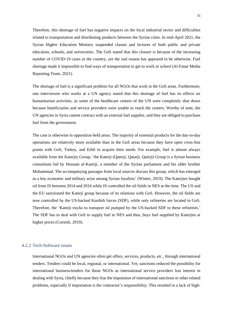Therefore, this shortage of fuel has negative impacts on the local industrial sector and difficulties related to transportation and distributing products between the Syrian cities. In mid-April 2021, the Syrian Higher Education Ministry suspended classes and lectures of both public and private education, schools, and universities. The GoS stated that this closure is because of the increasing number of COVID-19 cases in the country, yet the real reason has appeared to be otherwise. Fuel shortage made it impossible to find ways of transportation to get to work or school (Al-Fanar Media Reporting Team, 2021).

The shortage of fuel is a significant problem for all NGOs that work in the GoS areas. Furthermore, one interviewee who works at a UN agency stated that this shortage of fuel has its effects on humanitarian activities, as some of the healthcare centers of the UN were completely shut down because beneficiaries and service providers were unable to reach the centers. Worthy of note, the UN agencies in Syria cannot contract with an external fuel supplier, and they are obliged to purchase fuel from the government.

The case is otherwise in opposition-held areas. The majority of essential products for the day-to-day operations are relatively more available than in the GoS areas because they have open cross-line points with GoS, Turkey, and Erbil to acquire their needs. For example, fuel is almost always available from the Katerjiy Group; 'the Katerji (Qaterji, Qatarji, Qatirji) Group is a Syrian business consortium led by Hossam al-Katerji, a member of the Syrian parliament and his older brother Muhammad. The accompanying passages from local sources discuss this group, which has emerged as a key economic and military actor among Syrian loyalists' (Winter, 2019). The Katerjies bought oil from IS between 2014 and 2016 while IS controlled the oil fields in NES at the time. The US and the EU sanctioned the Katerji group because of its relations with GoS. However, the oil fields are now controlled by the US-backed Kurdish forces (SDF), while only refineries are located in GoS. Therefore, the 'Katerji trucks to transport oil pumped by the US-backed SDF to these refineries.' The SDF has to deal with GoS to supply fuel to NES and thus, buys fuel supplied by Katerjies at higher prices (Cornish, 2019).

#### <span id="page-34-0"></span>4.2.2 Tech-Software issues

International NGOs and UN agencies often get offers, services, products, etc., through international tenders. Tenders could be local, regional, or international. Yet, sanctions reduced the possibility for international business/tenders for those NGOs as international service providers lost interest in dealing with Syria, chiefly because they fear the imposition of international sanctions or other related problems, especially if importation is the contractor's responsibility. This resulted in a lack of high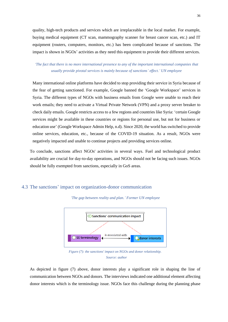quality, high-tech products and services which are irreplaceable in the local market. For example, buying medical equipment (CT scan, mammography scanner for breast cancer scan, etc.) and IT equipment (routers, computers, monitors, etc.) has been complicated because of sanctions. The impact is shown in NGOs' activities as they need this equipment to provide their different services.

## *'The fact that there is no more international presence to any of the important international companies that usually provide pivotal services is mainly because of sanctions' effect.' UN employee*

Many international online platforms have decided to stop providing their service in Syria because of the fear of getting sanctioned. For example, Google banned the 'Google Workspace' services in Syria. The different types of NGOs with business emails from Google were unable to reach their work emails; they need to activate a Virtual Private Network (VPN) and a proxy server breaker to check daily emails. Google restricts access to a few regions and countries like Syria: 'certain Google services might be available in these countries or regions for personal use, but not for business or education use' (Google Workspace Admin Help, n.d). Since 2020, the world has switched to provide online services, education, etc., because of the COVID-19 situation. As a result, NGOs were negatively impacted and unable to continue projects and providing services online.

To conclude, sanctions affect NGOs' activities in several ways. Fuel and technological product availability are crucial for day-to-day operations, and NGOs should not be facing such issues. NGOs should be fully exempted from sanctions, especially in GoS areas.

## <span id="page-35-0"></span>4.3 The sanctions' impact on organization-donor communication



*'The gap between reality and plan.' Former UN employee*

*Figure (7): the sanctions' impact on NGOs and donor relationship. Source: author*

As depicted in figure (7) above, donor interests play a significant role in shaping the line of communication between NGOs and donors. The interviews indicated one additional element affecting donor interests which is the terminology issue. NGOs face this challenge during the planning phase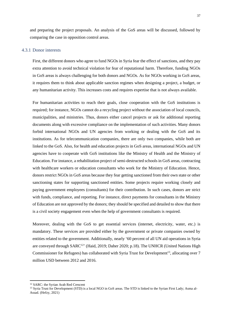and preparing the project proposals. An analysis of the GoS areas will be discussed, followed by comparing the case in opposition control areas.

#### <span id="page-36-0"></span>4.3.1 Donor interests

First, the different donors who agree to fund NGOs in Syria fear the effect of sanctions, and they pay extra attention to avoid technical violation for fear of reputational harm. Therefore, funding NGOs in GoS areas is always challenging for both donors and NGOs. As for NGOs working in GoS areas, it requires them to think about applicable sanction regimes when designing a project, a budget, or any humanitarian activity. This increases costs and requires expertise that is not always available.

For humanitarian activities to reach their goals, close cooperation with the GoS institutions is required; for instance, NGOs cannot do a recycling project without the association of local councils, municipalities, and ministries. Thus, donors either cancel projects or ask for additional reporting documents along with excessive compliance on the implementation of such activities. Many donors forbid international NGOs and UN agencies from working or dealing with the GoS and its institutions. As for telecommunication companies, there are only two companies, while both are linked to the GoS. Also, for health and education projects in GoS areas, international NGOs and UN agencies have to cooperate with GoS institutions like the Ministry of Health and the Ministry of Education. For instance, a rehabilitation project of semi-destructed schools in GoS areas, contracting with healthcare workers or education consultants who work for the Ministry of Education. Hence, donors restrict NGOs in GoS areas because they fear getting sanctioned from their own state or other sanctioning states for supporting sanctioned entities. Some projects require working closely and paying government employees (consultants) for their contribution. In such cases, donors are strict with funds, compliance, and reporting. For instance, direct payments for consultants in the Ministry of Education are not approved by the donors; they should be specified and detailed to show that there is a civil society engagement even when the help of government consultants is required.

Moreover, dealing with the GoS to get essential services (internet, electricity, water, etc.) is mandatory. These services are provided either by the government or private companies owned by entities related to the government. Additionally, nearly '60 percent of all UN aid operations in Syria are conveyed through SARC<sup>12</sup>' (Haid, 2019; Daher 2020; p.18). The UNHCR (United Nations High Commissioner for Refugees) has collaborated with Syria Trust for Development<sup>13</sup>, allocating over 7 million USD between 2012 and 2016.

<sup>&</sup>lt;sup>12</sup> SARC: the Syrian Arab Red Crescent

<sup>&</sup>lt;sup>13</sup> Syria Trust for Development (STD) is a local NGO in GoS areas. The STD is linked to the Syrian First Lady; Asma al-Assad. (Hefzy, 2021)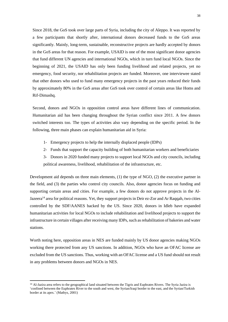Since 2018, the GoS took over large parts of Syria, including the city of Aleppo. It was reported by a few participants that shortly after, international donors decreased funds to the GoS areas significantly. Mainly, long-term, sustainable, reconstructive projects are hardly accepted by donors in the GoS areas for that reason. For example, USAID is one of the most significant donor agencies that fund different UN agencies and international NGOs, which in turn fund local NGOs. Since the beginning of 2021, the USAID has only been funding livelihood and related projects, yet no emergency, food security, nor rehabilitation projects are funded. Moreover, one interviewee stated that other donors who used to fund many emergency projects in the past years reduced their funds by approximately 80% in the GoS areas after GoS took over control of certain areas like Homs and Rif-Dimashq.

Second, donors and NGOs in opposition control areas have different lines of communication. Humanitarian aid has been changing throughout the Syrian conflict since 2011. A few donors switched interests too. The types of activities also vary depending on the specific period. In the following, three main phases can explain humanitarian aid in Syria:

- 1- Emergency projects to help the internally displaced people (IDPs)
- 2- Funds that support the capacity building of both humanitarian workers and beneficiaries
- 3- Donors in 2020 funded many projects to support local NGOs and city councils, including political awareness, livelihood, rehabilitation of the infrastructure, etc.

Development aid depends on three main elements, (1) the type of NGO, (2) the executive partner in the field, and (3) the parties who control city councils. Also, donor agencies focus on funding and supporting certain areas and cities. For example, a few donors do not approve projects in the Al-Jazeera<sup>14</sup> area for political reasons. Yet, they support projects in Deir ez-Zor and Ar Raqqah, two cities controlled by the SDF/AANES backed by the US. Since 2020, donors in Idleb have expanded humanitarian activities for local NGOs to include rehabilitation and livelihood projects to support the infrastructure in certain villages after receiving many IDPs, such as rehabilitation of bakeries and water stations.

Worth noting here, opposition areas in NES are funded mainly by US donor agencies making NGOs working there protected from any US sanctions. In addition, NGOs who have an OFAC license are excluded from the US sanctions. Thus, working with an OFAC license and a US fund should not result in any problems between donors and NGOs in NES.

<sup>&</sup>lt;sup>14</sup> Al-Jazira area refers to the geographical land situated between the Tigris and Euphrates Rivers. The Syria Jazira is 'confined between the Euphrates River to the south and west, the Syrian/Iraqi border to the east, and the Syrian/Turkish border at its apex.' (Mathys, 2001)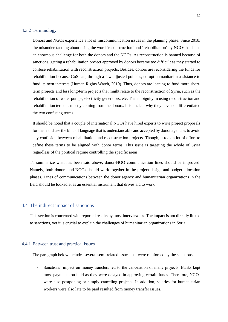#### <span id="page-38-0"></span>4.3.2 Terminology

Donors and NGOs experience a lot of miscommunication issues in the planning phase. Since 2018, the misunderstanding about using the word 'reconstruction' and 'rehabilitation' by NGOs has been an enormous challenge for both the donors and the NGOs. As reconstruction is banned because of sanctions, getting a rehabilitation project approved by donors became too difficult as they started to confuse rehabilitation with reconstruction projects. Besides, donors are reconsidering the funds for rehabilitation because GoS can, through a few adjusted policies, co-opt humanitarian assistance to fund its own interests (Human Rights Watch, 2019). Thus, donors are leaning to fund more shortterm projects and less long-term projects that might relate to the reconstruction of Syria, such as the rehabilitation of water pumps, electricity generators, etc. The ambiguity in using reconstruction and rehabilitation terms is mostly coming from the donors. It is unclear why they have not differentiated the two confusing terms.

It should be noted that a couple of international NGOs have hired experts to write project proposals for them and use the kind of language that is understandable and accepted by donor agencies to avoid any confusion between rehabilitation and reconstruction projects. Though, it took a lot of effort to define these terms to be aligned with donor terms. This issue is targeting the whole of Syria regardless of the political regime controlling the specific areas.

To summarize what has been said above, donor-NGO communication lines should be improved. Namely, both donors and NGOs should work together in the project design and budget allocation phases. Lines of communications between the donor agency and humanitarian organizations in the field should be looked at as an essential instrument that drives aid to work.

## <span id="page-38-1"></span>4.4 The indirect impact of sanctions

This section is concerned with reported results by most interviewees. The impact is not directly linked to sanctions, yet it is crucial to explain the challenges of humanitarian organizations in Syria.

#### <span id="page-38-2"></span>4.4.1 Between trust and practical issues

The paragraph below includes several semi-related issues that were reinforced by the sanctions.

**-** Sanctions' impact on money transfers led to the cancelation of many projects. Banks kept most payments on hold as they were delayed in approving certain funds. Therefore, NGOs were also postponing or simply canceling projects. In addition, salaries for humanitarian workers were also late to be paid resulted from money transfer issues.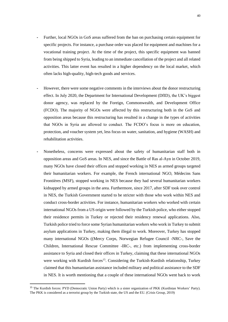- **-** Further, local NGOs in GoS areas suffered from the ban on purchasing certain equipment for specific projects. For instance, a purchase order was placed for equipment and machines for a vocational training project. At the time of the project, this specific equipment was banned from being shipped to Syria, leading to an immediate cancellation of the project and all related activities. This latter event has resulted in a higher dependency on the local market, which often lacks high-quality, high-tech goods and services.
- **-** However, there were some negative comments in the interviews about the donor restructuring effect. In July 2020, the Department for International Development (DfID), the UK's biggest donor agency, was replaced by the Foreign, Commonwealth, and Development Office (FCDO). The majority of NGOs were affected by this restructuring both in the GoS and opposition areas because this restructuring has resulted in a change in the types of activities that NGOs in Syria are allowed to conduct. The FCDO's focus is more on education, protection, and voucher system yet, less focus on water, sanitation, and hygiene (WASH) and rehabilitation activities.
- **-** Nonetheless, concerns were expressed about the safety of humanitarian staff both in opposition areas and GoS areas. In NES, and since the Battle of Ras al-Ayn in October 2019, many NGOs have closed their offices and stopped working in NES as armed groups targeted their humanitarian workers. For example, the French international NGO, Médecins Sans Frontières (MSF), stopped working in NES because they had several humanitarian workers kidnapped by armed groups in the area. Furthermore, since 2017, after SDF took over control in NES, the Turkish Government started to be stricter with those who work within NES and conduct cross-border activities. For instance, humanitarian workers who worked with certain international NGOs from a US origin were followed by the Turkish police, who either stopped their residence permits in Turkey or rejected their residency renewal applications. Also, Turkish police tried to force some Syrian humanitarian workers who work in Turkey to submit asylum applications in Turkey, making them illegal to work. Moreover, Turkey has stopped many international NGOs ((Mercy Corps, Norwegian Refugee Council -NRC-, Save the Children, International Rescue Committee -IRC-, etc.) from implementing cross-border assistance to Syria and closed their offices in Turkey, claiming that these international NGOs were working with Kurdish forces<sup>15</sup>. Considering the Turkish-Kurdish relationship, Turkey claimed that this humanitarian assistance included military and political assistance to the SDF in NES. It is worth mentioning that a couple of these international NGOs went back to work

<sup>&</sup>lt;sup>15</sup> The Kurdish forces: PYD (Democratic Union Party) which is a sister organization of PKK (Kurdistan Workers' Party). The PKK is considered as a terrorist group by the Turkish state, the US and the EU. (Crisis Group, 2019)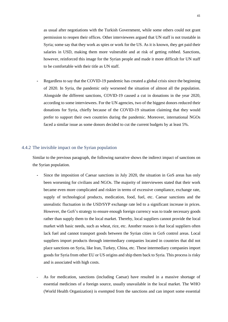as usual after negotiations with the Turkish Government, while some others could not grant permission to reopen their offices. Other interviewees argued that UN staff is not trustable in Syria; some say that they work as spies or work for the US. As it is known, they get paid their salaries in USD, making them more vulnerable and at risk of getting robbed. Sanctions, however, reinforced this image for the Syrian people and made it more difficult for UN staff to be comfortable with their title as UN staff.

**-** Regardless to say that the COVID-19 pandemic has created a global crisis since the beginning of 2020. In Syria, the pandemic only worsened the situation of almost all the population. Alongside the different sanctions, COVID-19 caused a cut in donations in the year 2020, according to some interviewees. For the UN agencies, two of the biggest donors reduced their donations for Syria, chiefly because of the COVID-19 situation claiming that they would prefer to support their own countries during the pandemic. Moreover, international NGOs faced a similar issue as some donors decided to cut the current budgets by at least 5%.

#### <span id="page-40-0"></span>4.4.2 The invisible impact on the Syrian population

Similar to the previous paragraph, the following narrative shows the indirect impact of sanctions on the Syrian population.

- **-** Since the imposition of Caesar sanctions in July 2020, the situation in GoS areas has only been worsening for civilians and NGOs. The majority of interviewees stated that their work became even more complicated and riskier in terms of excessive compliance, exchange rate, supply of technological products, medication, food, fuel, etc. Caesar sanctions and the unrealistic fluctuation in the USD/SYP exchange rate led to a significant increase in prices. However, the GoS's strategy to ensure enough foreign currency was to trade necessary goods rather than supply them to the local market. Thereby, local suppliers cannot provide the local market with basic needs, such as wheat, rice, etc. Another reason is that local suppliers often lack fuel and cannot transport goods between the Syrian cities in GoS control areas. Local suppliers import products through intermediary companies located in countries that did not place sanctions on Syria, like Iran, Turkey, China, etc. These intermediary companies import goods for Syria from other EU or US origins and ship them back to Syria. This process is risky and is associated with high costs.
- **-** As for medication, sanctions (including Caesar) have resulted in a massive shortage of essential medicines of a foreign source, usually unavailable in the local market. The WHO (World Health Organization) is exempted from the sanctions and can import some essential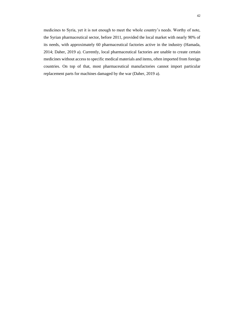medicines to Syria, yet it is not enough to meet the whole country's needs. Worthy of note, the Syrian pharmaceutical sector, before 2011, provided the local market with nearly 90% of its needs, with approximately 60 pharmaceutical factories active in the industry (Hamada, 2014; Daher, 2019 a). Currently, local pharmaceutical factories are unable to create certain medicines without access to specific medical materials and items, often imported from foreign countries. On top of that, most pharmaceutical manufactories cannot import particular replacement parts for machines damaged by the war (Daher, 2019 a).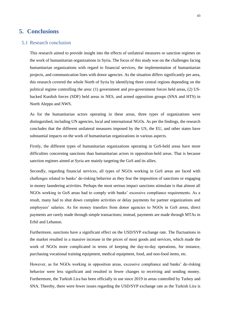## <span id="page-42-0"></span>**5. Conclusions**

#### <span id="page-42-1"></span>5.1 Research conclusion

This research aimed to provide insight into the effects of unilateral measures or sanction regimes on the work of humanitarian organizations in Syria. The focus of this study was on the challenges facing humanitarian organizations with regard to financial services, the implementation of humanitarian projects, and communication lines with donor agencies. As the situation differs significantly per area, this research covered the whole North of Syria by identifying three central regions depending on the political regime controlling the area: (1) government and pro-government forces held areas, (2) USbacked Kurdish forces (SDF) held areas in NES, and armed opposition groups (SNA and HTS) in North Aleppo and NWS.

As for the humanitarian actors operating in these areas, three types of organizations were distinguished, including UN agencies, local and international NGOs. As per the findings, the research concludes that the different unilateral measures imposed by the US, the EU, and other states have substantial impacts on the work of humanitarian organizations in various aspects.

Firstly, the different types of humanitarian organizations operating in GoS-held areas have more difficulties concerning sanctions than humanitarian actors in opposition-held areas. That is because sanction regimes aimed at Syria are mainly targeting the GoS and its allies.

Secondly, regarding financial services, all types of NGOs working in GoS areas are faced with challenges related to banks' de-risking behavior as they fear the imposition of sanctions or engaging in money laundering activities. Perhaps the most serious impact sanctions stimulate is that almost all NGOs working in GoS areas had to comply with banks' excessive compliance requirements. As a result, many had to shut down complete activities or delay payments for partner organizations and employees' salaries. As for money transfers from donor agencies to NGOs in GoS areas, direct payments are rarely made through simple transactions; instead, payments are made through MTAs in Erbil and Lebanon.

Furthermore, sanctions have a significant effect on the USD/SYP exchange rate. The fluctuations in the market resulted in a massive increase in the prices of most goods and services, which made the work of NGOs more complicated in terms of keeping the day-to-day operations, for instance, purchasing vocational training equipment, medical equipment, food, and non-food items, etc.

However, as for NGOs working in opposition areas, excessive compliance and banks' de-risking behavior were less significant and resulted in fewer changes to receiving and sending money. Furthermore, the Turkish Lira has been officially in use since 2019 in areas controlled by Turkey and SNA. Thereby, there were fewer issues regarding the USD/SYP exchange rate as the Turkish Lira is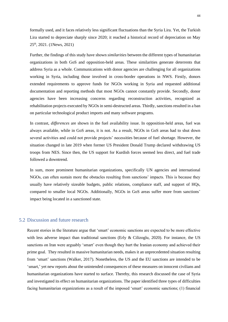formally used, and it faces relatively less significant fluctuations than the Syria Lira. Yet, the Turkish Lira started to depreciate sharply since 2020; it reached a historical record of depreciation on May 25th, 2021. (1News, 2021)

Further, the findings of this study have shown *similarities* between the different types of humanitarian organizations in both GoS and opposition-held areas. These similarities generate deterrents that address Syria as a whole. Communications with donor agencies are challenging for all organizations working in Syria, including those involved in cross-border operations in NWS. Firstly, donors extended requirements to approve funds for NGOs working in Syria and requested additional documentation and reporting methods that most NGOs cannot constantly provide. Secondly, donor agencies have been increasing concerns regarding reconstruction activities, recognized as rehabilitation projects executed by NGOs in semi-destructed areas. Thirdly, sanctions resulted in a ban on particular technological product imports and many software programs.

In contrast, *differences* are shown in the fuel availability issue. In opposition-held areas, fuel was always available, while in GoS areas, it is not. As a result, NGOs in GoS areas had to shut down several activities and could not provide projects' necessities because of fuel shortage. However, the situation changed in late 2019 when former US President Donald Trump declared withdrawing US troops from NES. Since then, the US support for Kurdish forces seemed less direct, and fuel trade followed a downtrend.

In sum, more prominent humanitarian organizations, specifically UN agencies and international NGOs, can often sustain more the obstacles resulting from sanctions' impacts. This is because they usually have relatively sizeable budgets, public relations, compliance staff, and support of HQs, compared to smaller local NGOs. Additionally, NGOs in GoS areas suffer more from sanctions' impact being located in a sanctioned state.

## <span id="page-43-0"></span>5.2 Discussion and future research

Recent stories in the literature argue that 'smart' economic sanctions are expected to be more effective with less adverse impact than traditional sanctions (Erly & Cilizoglu, 2020). For instance, the US sanctions on Iran were arguably 'smart' even though they hurt the Iranian economy and achieved their prime goal. They resulted in massive humanitarian needs, makes it an unprecedented situation resulting from 'smart' sanctions (Walker, 2017). Nonetheless, the US and the EU sanctions are intended to be 'smart,' yet new reports about the unintended consequences of these measures on innocent civilians and humanitarian organizations have started to surface. Thereby, this research discussed the case of Syria and investigated its effect on humanitarian organizations. The paper identified three types of difficulties facing humanitarian organizations as a result of the imposed 'smart' economic sanctions; (1) financial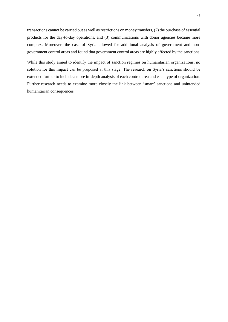transactions cannot be carried out as well as restrictions on money transfers, (2) the purchase of essential products for the day-to-day operations, and (3) communications with donor agencies became more complex. Moreover, the case of Syria allowed for additional analysis of government and nongovernment control areas and found that government control areas are highly affected by the sanctions.

While this study aimed to identify the impact of sanction regimes on humanitarian organizations, no solution for this impact can be proposed at this stage. The research on Syria's sanctions should be extended further to include a more in-depth analysis of each control area and each type of organization. Further research needs to examine more closely the link between 'smart' sanctions and unintended humanitarian consequences.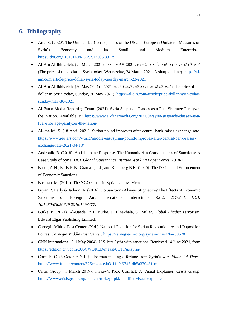## <span id="page-45-0"></span>**6. Bibliography**

- Aita, S. (2020). The Unintended Consequences of the US and European Unilateral Measures on Syria's Economy and its Small and Medium Enterprises. <https://doi.org/10.13140/RG.2.2.17505.33129>
- 'سعر الدولار في سوريا اليوم الأربعاء 24 مارس 2021. انخفاض حاد ' .(24 March 2021) Al-Ain Al-Ikhbarieh (The price of the dollar in Syria today, Wednesday, 24 March 2021. A sharp decline). [https://al](https://al-ain.com/article/price-dollar-syria-today-tuesday-march-23-2021)[ain.com/article/price-dollar-syria-today-tuesday-march-23-2021](https://al-ain.com/article/price-dollar-syria-today-tuesday-march-23-2021)
- Al-Ain Al-Ikhbarieh. (30 May 2021). '2021 مايو 30 األحد اليوم سوريا في الدوالر سعر) 'The price of the dollar in Syria today, Sunday, 30 May 2021). [https://al-ain.com/article/price-dollar-syria-today](https://al-ain.com/article/price-dollar-syria-today-sunday-may-30-2021)[sunday-may-30-2021](https://al-ain.com/article/price-dollar-syria-today-sunday-may-30-2021)
- Al-Fanar Media Reporting Team. (2021). Syria Suspends Classes as a Fuel Shortage Paralyzes the Nation. Available at: [https://www.al-fanarmedia.org/2021/04/syria-suspends-classes-as-a](https://www.al-fanarmedia.org/2021/04/syria-suspends-classes-as-a-fuel-shortage-paralyzes-the-nation/)[fuel-shortage-paralyzes-the-nation/](https://www.al-fanarmedia.org/2021/04/syria-suspends-classes-as-a-fuel-shortage-paralyzes-the-nation/)
- Al-khalidi, S. (18 April 2021). Syrian pound improves after central bank raises exchange rate. [https://www.reuters.com/world/middle-east/syrian-pound-improves-after-central-bank-raises](https://www.reuters.com/world/middle-east/syrian-pound-improves-after-central-bank-raises-exchange-rate-2021-04-18/)[exchange-rate-2021-04-18/](https://www.reuters.com/world/middle-east/syrian-pound-improves-after-central-bank-raises-exchange-rate-2021-04-18/)
- Andronik, B. (2018). An Inhumane Response. The Humanitarian Consequences of Sanctions: A Case Study of Syria, *UCL Global Governance Institute Working Paper Series*, 2018/1.
- Bapat, A.N., Early R.B., Grauvogel, J., and Kleinberg B.K. (2020). The Design and Enforcement of Economic Sanctions.
- Bosman, M. (2012). The NGO sector in Syria an overview.
- Bryan R. Early & Jadoon, A. (2016). Do Sanctions Always Stigmatize? The Effects of Economic Sanctions on Foreign Aid, International Interactions. *42:2, 217-243, DOI: 10.1080/03050629.2016.1093477.*
- Burke, P. (2021). Al-Qaeda. In P. Burke, D. Elnakhala, S. Miller*. Global Jihadist Terrorism*. Edward Elgar Publishing Limited.
- Carnegie Middle East Center. (N.d.). National Coalition for Syrian Revolutionary and Opposition Forces. *Carnegie Middle East Center*. <https://carnegie-mec.org/syriaincrisis/?fa=50628>
- CNN International. (11 May 2004). U.S. hits Syria with sanctions. Retrieved 14 June 2021, from <https://edition.cnn.com/2004/WORLD/meast/05/11/us.syria/>
- Cornish, C, (3 October 2019). The men making a fortune from Syria's war. *Financial Times*. <https://www.ft.com/content/525ec4e4-e4a3-11e9-9743-db5a370481bc>
- Crisis Group. (1 March 2019). Turkey's PKK Conflict: A Visual Explainer. *Crisis Group*. <https://www.crisisgroup.org/content/turkeys-pkk-conflict-visual-explainer>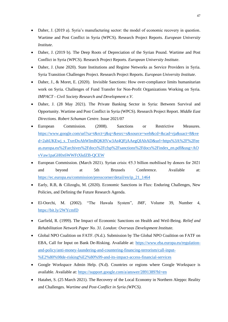- Daher, J. (2019 a). Syria's manufacturing sector: the model of economic recovery in question. Wartime and Post Conflict in Syria (WPCS). Research Project Reports. *European University Institute*.
- Daher, J. (2019 b). The Deep Roots of Depreciation of the Syrian Pound. Wartime and Post Conflict in Syria (WPCS). Research Project Reports. *European University Institute*.
- Daher, J. (June 2020). State Institutions and Regime Networks as Service Providers in Syria. Syria Transition Challenges Project. Research Project Reports. *European University Institute*.
- Daher, J., & Moret, E. (2020). Invisible Sanctions: How over-compliance limits humanitarian work on Syria. Challenges of Fund Transfer for Non-Profit Organizations Working on Syria*. IMPACT - Civil Society Research and Development e.V*.
- Daher, J. (28 May 2021). The Private Banking Sector in Syria: Between Survival and Opportunity. Wartime and Post Conflict in Syria (WPCS). Research Project Report. *Middle East Directions. Robert Schuman Centre.* Issue 2021/07
- European Commission. (2008). Sanctions or Restrictive Measures. [https://www.google.com/url?sa=t&rct=j&q=&esrc=s&source=web&cd=&cad=rja&uact=8&ve](https://www.google.com/url?sa=t&rct=j&q=&esrc=s&source=web&cd=&cad=rja&uact=8&ved=2ahUKEwj_s_TxrrDxAhWImBQKHVw3At4QFjAAegQIAhAD&url=https%3A%2F%2Feeas.europa.eu%2Farchives%2Fdocs%2Fcfsp%2Fsanctions%2Fdocs%2Findex_en.pdf&usg=AOvVaw1paGH0x6WWFtXkdZB-QCEW) [d=2ahUKEwj\\_s\\_TxrrDxAhWImBQKHVw3At4QFjAAegQIAhAD&url=https%3A%2F%2Fee](https://www.google.com/url?sa=t&rct=j&q=&esrc=s&source=web&cd=&cad=rja&uact=8&ved=2ahUKEwj_s_TxrrDxAhWImBQKHVw3At4QFjAAegQIAhAD&url=https%3A%2F%2Feeas.europa.eu%2Farchives%2Fdocs%2Fcfsp%2Fsanctions%2Fdocs%2Findex_en.pdf&usg=AOvVaw1paGH0x6WWFtXkdZB-QCEW) [as.europa.eu%2Farchives%2Fdocs%2Fcfsp%2Fsanctions%2Fdocs%2Findex\\_en.pdf&usg=AO](https://www.google.com/url?sa=t&rct=j&q=&esrc=s&source=web&cd=&cad=rja&uact=8&ved=2ahUKEwj_s_TxrrDxAhWImBQKHVw3At4QFjAAegQIAhAD&url=https%3A%2F%2Feeas.europa.eu%2Farchives%2Fdocs%2Fcfsp%2Fsanctions%2Fdocs%2Findex_en.pdf&usg=AOvVaw1paGH0x6WWFtXkdZB-QCEW) [vVaw1paGH0x6WWFtXkdZB-QCEW](https://www.google.com/url?sa=t&rct=j&q=&esrc=s&source=web&cd=&cad=rja&uact=8&ved=2ahUKEwj_s_TxrrDxAhWImBQKHVw3At4QFjAAegQIAhAD&url=https%3A%2F%2Feeas.europa.eu%2Farchives%2Fdocs%2Fcfsp%2Fsanctions%2Fdocs%2Findex_en.pdf&usg=AOvVaw1paGH0x6WWFtXkdZB-QCEW)
- European Commission. (March 2021). Syrian crisis: €5.3 billion mobilised by donors for 2021 and beyond at 5th Brussels Conference. Available at: [https://ec.europa.eu/commission/presscorner/detail/en/ip\\_21\\_1464](https://ec.europa.eu/commission/presscorner/detail/en/ip_21_1464)
- Early, R.B, & Cilizoglu, M. (2020). Economic Sanctions in Flux: Enduring Challenges, New Policies, and Defining the Future Research Agenda.
- El-Oorchi, M. (2002). "The Hawala System", *IMF*, Volume 39, Number 4, <https://bit.ly/2WYcmfD>
- Garfield, R. (1999). The Impact of Economic Sanctions on Health and Weil-Being. *Relief and Rehabilitation Network Paper No. 31. London: Overseas Development Institute.*
- Global NPO Coalition on FATF. (N.d.). Submission by The Global NPO Coalition on FATF on EBA, Call for Input on Bank De-Risking. Available at: [https://www.eba.europa.eu/regulation](https://www.eba.europa.eu/regulation-and-policy/anti-money-laundering-and-countering-financing-terrorism/call-input-%E2%80%98de-risking%E2%80%99-and-its-impact-access-financial-services)[and-policy/anti-money-laundering-and-countering-financing-terrorism/call-input-](https://www.eba.europa.eu/regulation-and-policy/anti-money-laundering-and-countering-financing-terrorism/call-input-%E2%80%98de-risking%E2%80%99-and-its-impact-access-financial-services) [%E2%80%98de-risking%E2%80%99-and-its-impact-access-financial-services](https://www.eba.europa.eu/regulation-and-policy/anti-money-laundering-and-countering-financing-terrorism/call-input-%E2%80%98de-risking%E2%80%99-and-its-impact-access-financial-services)
- Google Workspace Admin Help. (N.d). Countries or regions where Google Workspace is available. Available at:<https://support.google.com/a/answer/2891389?hl=en>
- Hatahet, S. (25 March 2021). The Recovery of the Local Economy in Northern Aleppo: Reality and Challenges. *Wartime and Post-Conflict in Syria (WPCS).*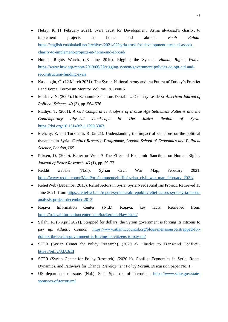- Hefzy, K. (1 February 2021). Syria Trust for Development, Asma al-Assad's charity, to implement projects at home and abroad. *Enab Baladi*. [https://english.enabbaladi.net/archives/2021/02/syria-trust-for-development-asma-al-assads](https://english.enabbaladi.net/archives/2021/02/syria-trust-for-development-asma-al-assads-charity-to-implement-projects-at-home-and-abroad/)[charity-to-implement-projects-at-home-and-abroad/](https://english.enabbaladi.net/archives/2021/02/syria-trust-for-development-asma-al-assads-charity-to-implement-projects-at-home-and-abroad/)
- Human Rights Watch. (28 June 2019). Rigging the System. *Human Rights Watch*. [https://www.hrw.org/report/2019/06/28/rigging-system/government-policies-co-opt-aid-and](https://www.hrw.org/report/2019/06/28/rigging-system/government-policies-co-opt-aid-and-reconstruction-funding-syria)[reconstruction-funding-syria](https://www.hrw.org/report/2019/06/28/rigging-system/government-policies-co-opt-aid-and-reconstruction-funding-syria)
- Kasapoglu, C. (12 March 2021). The Syrian National Army and the Future of Turkey's Frontier Land Force. Terrorism Monitor Volume 19. Issue 5
- Marinov, N. (2005). Do Economic Sanctions Destabilize Country Leaders? *American Journal of Political Science,* 49 (3), pp. 564-576.
- Mathys, T. (2001). *A GIS Comparative Analysis of Bronze Age Settlement Patterns and the Contemporary Physical Landscape in The Jazira Region of Syria*. <https://doi.org/10.13140/2.1.1290.3363>
- Mehchy, Z. and Turkmani, R. (2021). Understanding the impact of sanctions on the political dynamics in Syria. *Conflict Research Programme, London School of Economics and Political Science, London, UK.*
- Peksen, D. (2009). Better or Worse? The Effect of Economic Sanctions on Human Rights. *Journal of Peace Research*, 46 (1), pp. 59-77.
- Reddit website. (N.d.). Syrian Civil War Map, February 2021. [https://www.reddit.com/r/MapPorn/comments/lnffih/syrian\\_civil\\_war\\_map\\_february\\_2021/](https://www.reddit.com/r/MapPorn/comments/lnffih/syrian_civil_war_map_february_2021/)
- ReliefWeb (December 2013). Relief Actors in Syria: Syria Needs Analysis Project. Retrieved 15 June 2021, from [https://reliefweb.int/report/syrian-arab-republic/relief-actors-syria-syria-needs](https://reliefweb.int/report/syrian-arab-republic/relief-actors-syria-syria-needs-analysis-project-december-2013)[analysis-project-december-2013](https://reliefweb.int/report/syrian-arab-republic/relief-actors-syria-syria-needs-analysis-project-december-2013)
- Rojava Information Center. (N.d.). Rojava: key facts. Retrieved from: <https://rojavainformationcenter.com/background/key-facts/>
- Salahi, R. (5 April 2021). Strapped for dollars, the Syrian government is forcing its citizens to pay up. *Atlantic Council*. [https://www.atlanticcouncil.org/blogs/menasource/strapped-for](https://www.atlanticcouncil.org/blogs/menasource/strapped-for-dollars-the-syrian-government-is-forcing-its-citizens-to-pay-up/)[dollars-the-syrian-government-is-forcing-its-citizens-to-pay-up/](https://www.atlanticcouncil.org/blogs/menasource/strapped-for-dollars-the-syrian-government-is-forcing-its-citizens-to-pay-up/)
- SCPR (Syrian Center for Policy Research). (2020 a). "Justice to Transcend Conflict", <https://bit.ly/3dA3iEI>
- SCPR (Syrian Center for Policy Research). (2020 b). Conflict Economies in Syria: Roots, Dynamics, and Pathways for Change. *Development Policy Forum*. Discussion paper No. 1.
- US department of state. (N.d.). State Sponsors of Terrorism. [https://www.state.gov/state](https://www.state.gov/state-sponsors-of-terrorism/)[sponsors-of-terrorism/](https://www.state.gov/state-sponsors-of-terrorism/)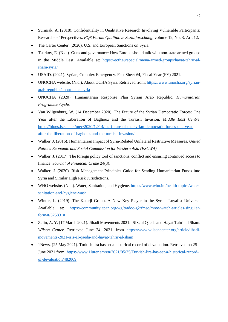- Surmiak, A. (2018). Confidentiality in Qualitative Research Involving Vulnerable Participants: Researchers' Perspectives. *FQS Forum Qualitative Sozialforschung*, volume 19, No. 3, Art. 12.
- The Carter Center. (2020). U.S. and European Sanctions on Syria.
- Tsurkov, E. (N.d.). Guns and governance: How Europe should talk with non-state armed groups in the Middle East. Available at: [https://ecfr.eu/special/mena-armed-groups/hayat-tahrir-al](https://ecfr.eu/special/mena-armed-groups/hayat-tahrir-al-sham-syria/)[sham-syria/](https://ecfr.eu/special/mena-armed-groups/hayat-tahrir-al-sham-syria/)
- USAID. (2021). Syrian, Complex Emergency. Fact Sheet #4, Fiscal Year (FY) 2021.
- UNOCHA website, (N.d.). About OCHA Syria. Retrieved from[: https://www.unocha.org/syrian](https://www.unocha.org/syrian-arab-republic/about-ocha-syria)[arab-republic/about-ocha-syria](https://www.unocha.org/syrian-arab-republic/about-ocha-syria)
- UNOCHA (2020). Humanitarian Response Plan Syrian Arab Republic. *Humanitarian Programme Cycle.*
- Van Wilgenburg, W. (14 December 2020). The Future of the Syrian Democratic Forces: One Year after the Liberation of Baghouz and the Turkish Invasion. *Middle East Centre*. [https://blogs.lse.ac.uk/mec/2020/12/14/the-future-of-the-syrian-democratic-forces-one-year](https://blogs.lse.ac.uk/mec/2020/12/14/the-future-of-the-syrian-democratic-forces-one-year-after-the-liberation-of-baghouz-and-the-turkish-invasion/)[after-the-liberation-of-baghouz-and-the-turkish-invasion/](https://blogs.lse.ac.uk/mec/2020/12/14/the-future-of-the-syrian-democratic-forces-one-year-after-the-liberation-of-baghouz-and-the-turkish-invasion/)
- Walker, J. (2016). Humanitarian Impact of Syria-Related Unilateral Restrictive Measures. *United Nations Economic and Social Commission for Western Asia (ESCWA)*
- Walker, J. (2017). The foreign policy tool of sanctions, conflict and ensuring continued access to finance. *Journal of Financial Crime* 24(3).
- Walker, J. (2020). Risk Management Principles Guide for Sending Humanitarian Funds into Syria and Similar High Risk Jurisdictions.
- WHO website. (N.d.). Water, Sanitation, and Hygiene. [https://www.who.int/health-topics/water](https://www.who.int/health-topics/water-sanitation-and-hygiene-wash)[sanitation-and-hygiene-wash](https://www.who.int/health-topics/water-sanitation-and-hygiene-wash)
- Winter, L. (2019). The Katerji Group. A New Key Player in the Syrian Loyalist Universe. Available at: [https://community.apan.org/wg/tradoc-g2/fmso/m/oe-watch-articles-singular](https://community.apan.org/wg/tradoc-g2/fmso/m/oe-watch-articles-singular-format/325831)[format/325831#](https://community.apan.org/wg/tradoc-g2/fmso/m/oe-watch-articles-singular-format/325831)
- Zelin, A. Y. (17 March 2021). Jihadi Movements 2021: ISIS, al Qaeda and Hayat Tahrir al Sham. *Wilson Center*. Retrieved June 24, 2021, from [https://www.wilsoncenter.org/article/jihadi](https://www.wilsoncenter.org/article/jihadi-movements-2021-isis-al-qaeda-and-hayat-tahrir-al-sham)[movements-2021-isis-al-qaeda-and-hayat-tahrir-al-sham](https://www.wilsoncenter.org/article/jihadi-movements-2021-isis-al-qaeda-and-hayat-tahrir-al-sham)
- 1News. (25 May 2021). Turkish lira has set a historical record of devaluation. Retrieved on 25 June 2021 from: [https://www.1lurer.am/en/2021/05/25/Turkish-lira-has-set-a-historical-record](https://www.1lurer.am/en/2021/05/25/Turkish-lira-has-set-a-historical-record-of-devaluation/482069)[of-devaluation/482069](https://www.1lurer.am/en/2021/05/25/Turkish-lira-has-set-a-historical-record-of-devaluation/482069)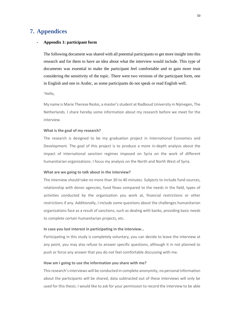## <span id="page-49-0"></span>**7. Appendices**

#### **- Appendix 1: participant form**

The following document was shared with all potential participants to get more insight into this research and for them to have an idea about what the interview would include. This type of documents was essential to make the participant feel comfortable and to gain more trust considering the sensitivity of the topic. There were two versions of the participant form, one in English and one in Arabic, as some participants do not speak or read English well.

'Hello,

My name is Marie Therese Rezko, a master's student at Radboud University in Nijmegen, The Netherlands. I share hereby some information about my research before we meet for the interview.

#### **What is the goal of my research?**

The research is designed to be my graduation project in International Economics and Development. The goal of this project is to produce a more in-depth analysis about the impact of international sanction regimes imposed on Syria on the work of different humanitarian organizations. I focus my analysis on the North and North West of Syria.

#### **What are we going to talk about in the interview?**

The interview should take no more than 30 to 40 minutes. Subjects to include fund sources, relationship with donor agencies, fund flows compared to the needs in the field, types of activities conducted by the organization you work at, financial restrictions or other restrictions if any. Additionally, I include some questions about the challenges humanitarian organizations face as a result of sanctions, such as dealing with banks, providing basic needs to complete certain humanitarian projects, etc.

#### **In case you lost interest in participating in the interview…**

Participating in this study is completely voluntary, you can decide to leave the interview at any point, you may also refuse to answer specific questions, although it in not planned to push or force any answer that you do not feel comfortable discussing with me.

#### **How am I going to use the information you share with me?**

This research's interviews will be conducted in complete anonymity, no personal information about the participants will be shared, data subtracted out of these interviews will only be used for this thesis. I would like to ask for your permission to record the interview to be able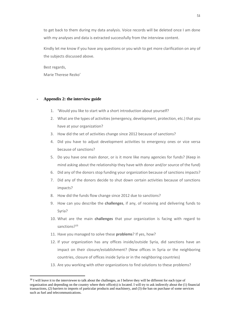to get back to them during my data analysis. Voice records will be deleted once I am done with my analyses and data is extracted successfully from the interview content.

Kindly let me know if you have any questions or you wish to get more clarification on any of the subjects discussed above.

Best regards, Marie Therese Rezko'

### **- Appendix 2: the interview guide**

- 1. 'Would you like to start with a short introduction about yourself?
- 2. What are the types of activities (emergency, development, protection, etc.) that you have at your organization?
- 3. How did the set of activities change since 2012 because of sanctions?
- 4. Did you have to adjust development activities to emergency ones or vice versa because of sanctions?
- 5. Do you have one main donor, or is it more like many agencies for funds? (Keep in mind asking about the relationship they have with donor and/or source of the fund)
- 6. Did any of the donors stop funding your organization because of sanctions impacts?
- 7. Did any of the donors decide to shut down certain activities because of sanctions impacts?
- 8. How did the funds flow change since 2012 due to sanctions?
- 9. How can you describe the **challenges**, if any, of receiving and delivering funds to Syria?
- 10. What are the main **challenges** that your organization is facing with regard to sanctions?<sup>16</sup>
- 11. Have you managed to solve these **problems**? If yes, how?
- 12. If your organization has any offices inside/outside Syria, did sanctions have an impact on their closure/establishment? (New offices in Syria or the neighboring countries, closure of offices inside Syria or in the neighboring countries)
- 13. Are you working with other organizations to find solutions to these problems?

<sup>&</sup>lt;sup>16</sup> I will leave it to the interviewee to talk about the challenges, as I believe they will be different for each type of organization and depending on the country where their office(s) is located. I will try to ask indirectly about the (1) financial transactions, (2) barriers to imports of particular products and machinery, and (3) the ban on purchase of some services such as fuel and telecommunications.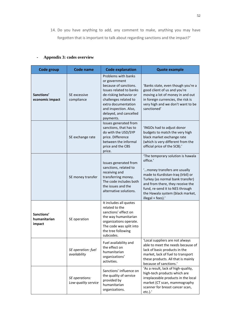14. Do you have anything to add, any comment to make, anything you may have forgotten that is important to talk about regarding sanctions and the impact?'

### **- Appendix 3: codes overview**

| Code group                           | <b>Code name</b>                      | <b>Code explanation</b>                                                                                                                                                                                                            | <b>Quote example</b>                                                                                                                                                                                                                                                                   |
|--------------------------------------|---------------------------------------|------------------------------------------------------------------------------------------------------------------------------------------------------------------------------------------------------------------------------------|----------------------------------------------------------------------------------------------------------------------------------------------------------------------------------------------------------------------------------------------------------------------------------------|
| Sanctions'<br>economic impact        | SE excessive<br>compliance            | Problems with banks<br>or government<br>because of sanctions.<br>Issues related to banks<br>de-risking behavior or<br>challenges related to<br>extra documentation<br>and inspection. Also,<br>delayed, and cancelled<br>payments. | 'Banks state, even though you're a<br>good client of us and you're<br>moving a lot of money in and out<br>in foreign currencies, the risk is<br>very high and we don't want to be<br>sanctioned'                                                                                       |
|                                      | SE exchange rate                      | Issues generated from<br>sanctions, that has to<br>do with the USD/SYP<br>price. Difference<br>between the informal<br>price and the CBS<br>price.                                                                                 | 'INGOs had to adjust donor<br>budgets to match the very high<br>black market exchange rate<br>(which is very different from the<br>official price of the SCB).'                                                                                                                        |
|                                      | SE money transfer                     | Issues generated from<br>sanctions, related to<br>receiving and<br>transferring money.<br>The code includes both<br>the issues and the<br>alternative solutions.                                                                   | 'The temporary solution is hawala<br>office.'<br>"money transfers are usually<br>made to Kurdistan-Iraq (Irbil) or<br>Turkey (as normal bank transfer)<br>and from there, they receive the<br>fund, re-send it to NES through<br>the Hawala system (black market,<br>illegal + fees).' |
| Sanctions'<br>humanitarian<br>impact | SE operation                          | It includes all quotes<br>related to the<br>sanctions' effect on<br>the way humanitarian<br>organizations operate.<br>The code was split into<br>the tree following<br>subcodes.                                                   |                                                                                                                                                                                                                                                                                        |
|                                      | SE operation: fuel<br>availability    | Fuel availability and<br>the effect on<br>humanitarian<br>organizations'<br>activities.                                                                                                                                            | 'Local suppliers are not always<br>able to meet the needs because of<br>lack of basic products in the<br>market, lack of fuel to transport<br>these products. All that is mainly<br>because of sanctions.'                                                                             |
|                                      | SE operations:<br>Low-quality service | Sanctions' influence on<br>the quality of service<br>provided by<br>humanitarian<br>organizations.                                                                                                                                 | 'As a result, lack of high-quality,<br>high-tech products which are<br>irreplaceable products in the local<br>market (CT scan, mammography<br>scanner for breast cancer scan,<br>$etc.$ ).'                                                                                            |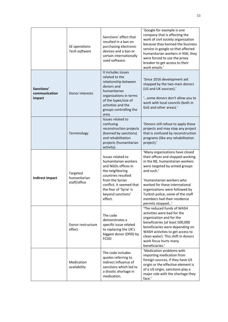|                                       | SE operations:<br>Tech-software          | Sanctions' effect that<br>resulted in a ban on<br>purchasing electronic<br>devices and a ban or<br>certain internationally<br>used software.                                                                       | 'Google for example is one<br>company that is affecting the<br>work of civil society organization<br>because they banned the business<br>service in google so that affected<br>humanitarian workers in NW, they<br>were forced to use the proxy<br>breaker to get access to their<br>work emails.'                                              |
|---------------------------------------|------------------------------------------|--------------------------------------------------------------------------------------------------------------------------------------------------------------------------------------------------------------------|-------------------------------------------------------------------------------------------------------------------------------------------------------------------------------------------------------------------------------------------------------------------------------------------------------------------------------------------------|
| Sanctions'<br>communication<br>impact | Donor interests                          | It includes issues<br>related to the<br>relationship between<br>donors and<br>humanitarian<br>organizations in terms<br>of the types/size of<br>activities and the<br>groups controlling the<br>area.              | 'Since 2016 development aid<br>stopped by the two main donors<br>(US and UK sources).'<br>"some donors don't allow you to<br>work with local councils (both in<br>GoS and other areas).'                                                                                                                                                        |
|                                       | Terminology                              | Issues related to<br>confusing<br>reconstruction projects<br>(banned by sanctions)<br>and rehabilitation<br>projects (humanitarian<br>activity).                                                                   | 'Donors still refuse to apply these<br>projects and may stop any project<br>that is confused by reconstruction<br>programs (like any rehabilitation<br>project).'                                                                                                                                                                               |
| <b>Indirect impact</b>                | Targeted<br>humanitarian<br>staff/office | Issues related to<br>humanitarian workers<br>and NGOs offices in<br>the neighboring<br>countries resulted<br>from the Syrian<br>conflict. It seemed that<br>the fear of 'Syria' is<br>beyond sanctions'<br>effect. | 'Many organizations have closed<br>their offices and stopped working<br>in the NE, humanitarian workers<br>were targeted by armed groups<br>and such.'<br>'Humanitarian workers who<br>worked for these international<br>organizations were followed by<br>Turkish police, some of the staff<br>members had their residence<br>permits stopped' |
|                                       | Donor restructure<br>effect              | The code<br>demonstrates a<br>specific issue related<br>to replacing the UK's<br>biggest donor (DfID) by<br><b>FCDO</b>                                                                                            | 'The reduced funds of WASH<br>activities were bad for the<br>organization and for the<br>beneficiaries (at least 500,000<br>beneficiaries were depending on<br>WASH activities to get access to<br>clean water). This shift in donors<br>work focus hurts many<br>beneficiaries.'                                                               |
|                                       | Medication<br>availability               | The code includes<br>quotes referring to<br>indirect influence of<br>sanctions which led to<br>a drastic shortage in<br>medication.                                                                                | 'Medication problems with<br>importing medication from<br>foreign sources, if they have US<br>origin or the effective element is<br>of a US origin, sanctions play a<br>major role with the shortage they<br>face.'                                                                                                                             |